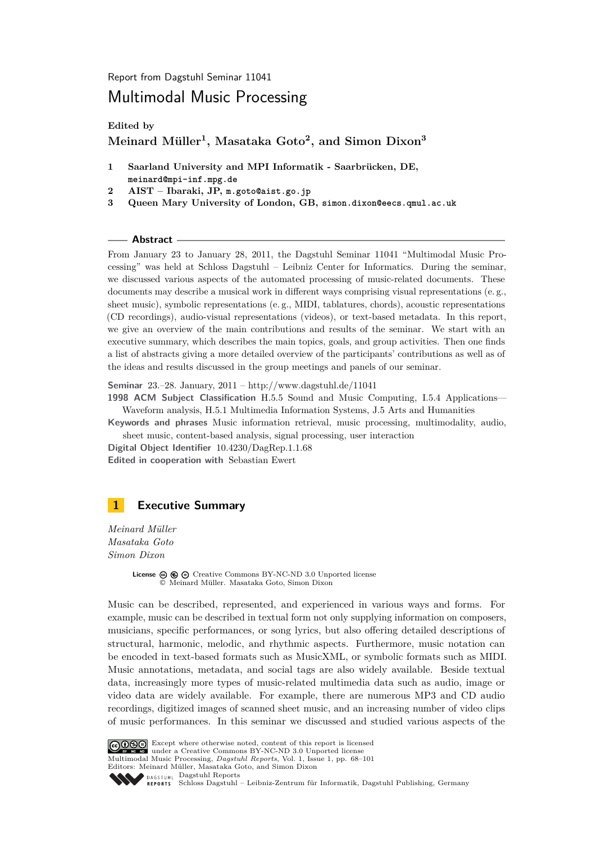<span id="page-0-1"></span>Report from Dagstuhl Seminar 11041

# Multimodal Music Processing

**Edited by**

# **Meinard Müller<sup>1</sup> , Masataka Goto<sup>2</sup> , and Simon Dixon<sup>3</sup>**

- **1 Saarland University and MPI Informatik Saarbrücken, DE, meinard@mpi-inf.mpg.de**
- **2 AIST Ibaraki, JP, m.goto@aist.go.jp**
- **3 Queen Mary University of London, GB, simon.dixon@eecs.qmul.ac.uk**

#### **Abstract**

From January 23 to January 28, 2011, the Dagstuhl Seminar 11041 "Multimodal Music Processing" was held at Schloss Dagstuhl – Leibniz Center for Informatics. During the seminar, we discussed various aspects of the automated processing of music-related documents. These documents may describe a musical work in different ways comprising visual representations (e. g., sheet music), symbolic representations (e. g., MIDI, tablatures, chords), acoustic representations (CD recordings), audio-visual representations (videos), or text-based metadata. In this report, we give an overview of the main contributions and results of the seminar. We start with an executive summary, which describes the main topics, goals, and group activities. Then one finds a list of abstracts giving a more detailed overview of the participants' contributions as well as of the ideas and results discussed in the group meetings and panels of our seminar.

**Seminar** 23.–28. January, 2011 – [http://www.dagstuhl.de/11041](http://www.dagstuhl.de/1104)

**1998 ACM Subject Classification** H.5.5 Sound and Music Computing, I.5.4 Applications— Waveform analysis, H.5.1 Multimedia Information Systems, J.5 Arts and Humanities

**Keywords and phrases** Music information retrieval, music processing, multimodality, audio, sheet music, content-based analysis, signal processing, user interaction

**Digital Object Identifier** [10.4230/DagRep.1.1.68](http://dx.doi.org/10.4230/DagRep.1.1.68) **Edited in cooperation with** Sebastian Ewert

# <span id="page-0-0"></span>**1 Executive Summary**

*Meinard Müller Masataka Goto Simon Dixon*

> **License**  $\textcircled{\textcircled{\textcircled{\textcirc}}}$   $\textcircled{\textcircled{\textcircled{\textcirc}}}$  [Creative Commons BY-NC-ND 3.0 Unported](http://creativecommons.org/licenses/by-nc-nd/3.0/) license © [Meinard Müller. Masataka Goto, Simon Dixon](#page-0-0)

Music can be described, represented, and experienced in various ways and forms. For example, music can be described in textual form not only supplying information on composers, musicians, specific performances, or song lyrics, but also offering detailed descriptions of structural, harmonic, melodic, and rhythmic aspects. Furthermore, music notation can be encoded in text-based formats such as MusicXML, or symbolic formats such as MIDI. Music annotations, metadata, and social tags are also widely available. Beside textual data, increasingly more types of music-related multimedia data such as audio, image or video data are widely available. For example, there are numerous MP3 and CD audio recordings, digitized images of scanned sheet music, and an increasing number of video clips of music performances. In this seminar we discussed and studied various aspects of the

Except where otherwise noted, content of this report is licensed under a [Creative Commons BY-NC-ND 3.0 Unported](http://creativecommons.org/licenses/by-nc-nd/3.0/) license Multimodal Music Processing, *Dagstuhl Reports*, Vol. 1, Issue 1, pp. 68[–101](#page-33-0) Editors: Meinard Müller, Masataka Goto, and Simon Dixon [Dagstuhl Reports](http://www.dagstuhl.de/dagstuhl-reports/) REPORTS [Schloss Dagstuhl – Leibniz-Zentrum für Informatik, Dagstuhl Publishing, Germany](http://www.dagstuhl.de)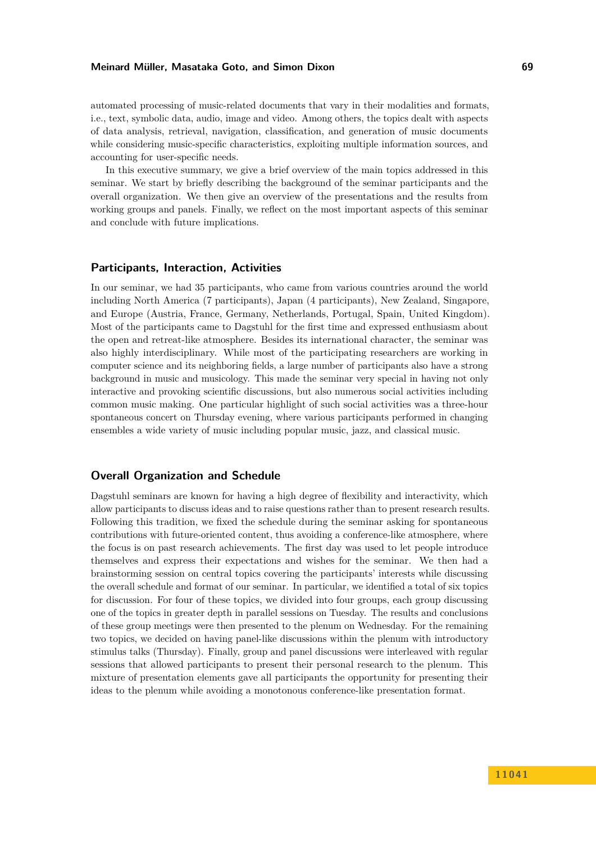automated processing of music-related documents that vary in their modalities and formats, i.e., text, symbolic data, audio, image and video. Among others, the topics dealt with aspects of data analysis, retrieval, navigation, classification, and generation of music documents while considering music-specific characteristics, exploiting multiple information sources, and accounting for user-specific needs.

In this executive summary, we give a brief overview of the main topics addressed in this seminar. We start by briefly describing the background of the seminar participants and the overall organization. We then give an overview of the presentations and the results from working groups and panels. Finally, we reflect on the most important aspects of this seminar and conclude with future implications.

### **Participants, Interaction, Activities**

In our seminar, we had 35 participants, who came from various countries around the world including North America (7 participants), Japan (4 participants), New Zealand, Singapore, and Europe (Austria, France, Germany, Netherlands, Portugal, Spain, United Kingdom). Most of the participants came to Dagstuhl for the first time and expressed enthusiasm about the open and retreat-like atmosphere. Besides its international character, the seminar was also highly interdisciplinary. While most of the participating researchers are working in computer science and its neighboring fields, a large number of participants also have a strong background in music and musicology. This made the seminar very special in having not only interactive and provoking scientific discussions, but also numerous social activities including common music making. One particular highlight of such social activities was a three-hour spontaneous concert on Thursday evening, where various participants performed in changing ensembles a wide variety of music including popular music, jazz, and classical music.

### **Overall Organization and Schedule**

Dagstuhl seminars are known for having a high degree of flexibility and interactivity, which allow participants to discuss ideas and to raise questions rather than to present research results. Following this tradition, we fixed the schedule during the seminar asking for spontaneous contributions with future-oriented content, thus avoiding a conference-like atmosphere, where the focus is on past research achievements. The first day was used to let people introduce themselves and express their expectations and wishes for the seminar. We then had a brainstorming session on central topics covering the participants' interests while discussing the overall schedule and format of our seminar. In particular, we identified a total of six topics for discussion. For four of these topics, we divided into four groups, each group discussing one of the topics in greater depth in parallel sessions on Tuesday. The results and conclusions of these group meetings were then presented to the plenum on Wednesday. For the remaining two topics, we decided on having panel-like discussions within the plenum with introductory stimulus talks (Thursday). Finally, group and panel discussions were interleaved with regular sessions that allowed participants to present their personal research to the plenum. This mixture of presentation elements gave all participants the opportunity for presenting their ideas to the plenum while avoiding a monotonous conference-like presentation format.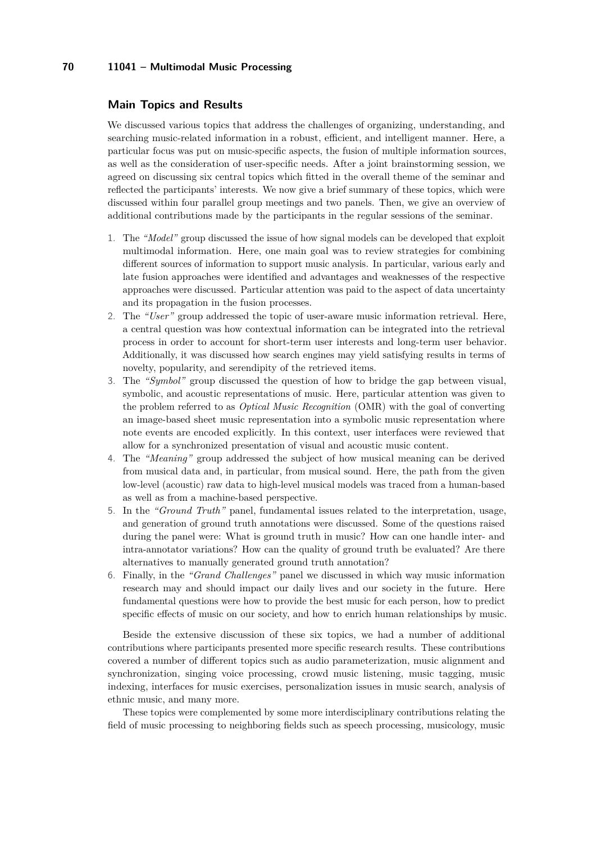### **Main Topics and Results**

We discussed various topics that address the challenges of organizing, understanding, and searching music-related information in a robust, efficient, and intelligent manner. Here, a particular focus was put on music-specific aspects, the fusion of multiple information sources, as well as the consideration of user-specific needs. After a joint brainstorming session, we agreed on discussing six central topics which fitted in the overall theme of the seminar and reflected the participants' interests. We now give a brief summary of these topics, which were discussed within four parallel group meetings and two panels. Then, we give an overview of additional contributions made by the participants in the regular sessions of the seminar.

- 1. The *"Model"* group discussed the issue of how signal models can be developed that exploit multimodal information. Here, one main goal was to review strategies for combining different sources of information to support music analysis. In particular, various early and late fusion approaches were identified and advantages and weaknesses of the respective approaches were discussed. Particular attention was paid to the aspect of data uncertainty and its propagation in the fusion processes.
- 2. The *"User"* group addressed the topic of user-aware music information retrieval. Here, a central question was how contextual information can be integrated into the retrieval process in order to account for short-term user interests and long-term user behavior. Additionally, it was discussed how search engines may yield satisfying results in terms of novelty, popularity, and serendipity of the retrieved items.
- 3. The *"Symbol"* group discussed the question of how to bridge the gap between visual, symbolic, and acoustic representations of music. Here, particular attention was given to the problem referred to as *Optical Music Recognition* (OMR) with the goal of converting an image-based sheet music representation into a symbolic music representation where note events are encoded explicitly. In this context, user interfaces were reviewed that allow for a synchronized presentation of visual and acoustic music content.
- 4. The *"Meaning"* group addressed the subject of how musical meaning can be derived from musical data and, in particular, from musical sound. Here, the path from the given low-level (acoustic) raw data to high-level musical models was traced from a human-based as well as from a machine-based perspective.
- 5. In the *"Ground Truth"* panel, fundamental issues related to the interpretation, usage, and generation of ground truth annotations were discussed. Some of the questions raised during the panel were: What is ground truth in music? How can one handle inter- and intra-annotator variations? How can the quality of ground truth be evaluated? Are there alternatives to manually generated ground truth annotation?
- 6. Finally, in the *"Grand Challenges"* panel we discussed in which way music information research may and should impact our daily lives and our society in the future. Here fundamental questions were how to provide the best music for each person, how to predict specific effects of music on our society, and how to enrich human relationships by music.

Beside the extensive discussion of these six topics, we had a number of additional contributions where participants presented more specific research results. These contributions covered a number of different topics such as audio parameterization, music alignment and synchronization, singing voice processing, crowd music listening, music tagging, music indexing, interfaces for music exercises, personalization issues in music search, analysis of ethnic music, and many more.

These topics were complemented by some more interdisciplinary contributions relating the field of music processing to neighboring fields such as speech processing, musicology, music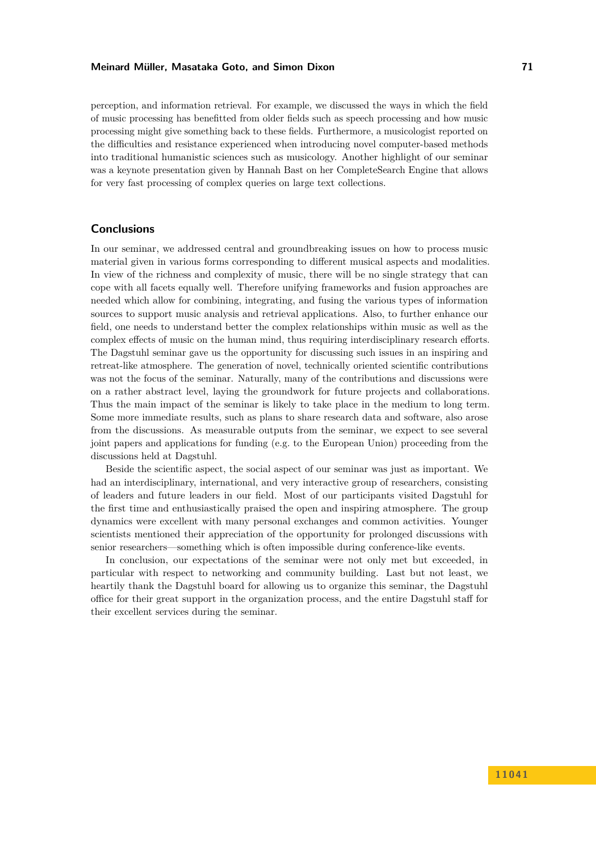perception, and information retrieval. For example, we discussed the ways in which the field of music processing has benefitted from older fields such as speech processing and how music processing might give something back to these fields. Furthermore, a musicologist reported on the difficulties and resistance experienced when introducing novel computer-based methods into traditional humanistic sciences such as musicology. Another highlight of our seminar was a keynote presentation given by Hannah Bast on her CompleteSearch Engine that allows for very fast processing of complex queries on large text collections.

### **Conclusions**

In our seminar, we addressed central and groundbreaking issues on how to process music material given in various forms corresponding to different musical aspects and modalities. In view of the richness and complexity of music, there will be no single strategy that can cope with all facets equally well. Therefore unifying frameworks and fusion approaches are needed which allow for combining, integrating, and fusing the various types of information sources to support music analysis and retrieval applications. Also, to further enhance our field, one needs to understand better the complex relationships within music as well as the complex effects of music on the human mind, thus requiring interdisciplinary research efforts. The Dagstuhl seminar gave us the opportunity for discussing such issues in an inspiring and retreat-like atmosphere. The generation of novel, technically oriented scientific contributions was not the focus of the seminar. Naturally, many of the contributions and discussions were on a rather abstract level, laying the groundwork for future projects and collaborations. Thus the main impact of the seminar is likely to take place in the medium to long term. Some more immediate results, such as plans to share research data and software, also arose from the discussions. As measurable outputs from the seminar, we expect to see several joint papers and applications for funding (e.g. to the European Union) proceeding from the discussions held at Dagstuhl.

Beside the scientific aspect, the social aspect of our seminar was just as important. We had an interdisciplinary, international, and very interactive group of researchers, consisting of leaders and future leaders in our field. Most of our participants visited Dagstuhl for the first time and enthusiastically praised the open and inspiring atmosphere. The group dynamics were excellent with many personal exchanges and common activities. Younger scientists mentioned their appreciation of the opportunity for prolonged discussions with senior researchers—something which is often impossible during conference-like events.

In conclusion, our expectations of the seminar were not only met but exceeded, in particular with respect to networking and community building. Last but not least, we heartily thank the Dagstuhl board for allowing us to organize this seminar, the Dagstuhl office for their great support in the organization process, and the entire Dagstuhl staff for their excellent services during the seminar.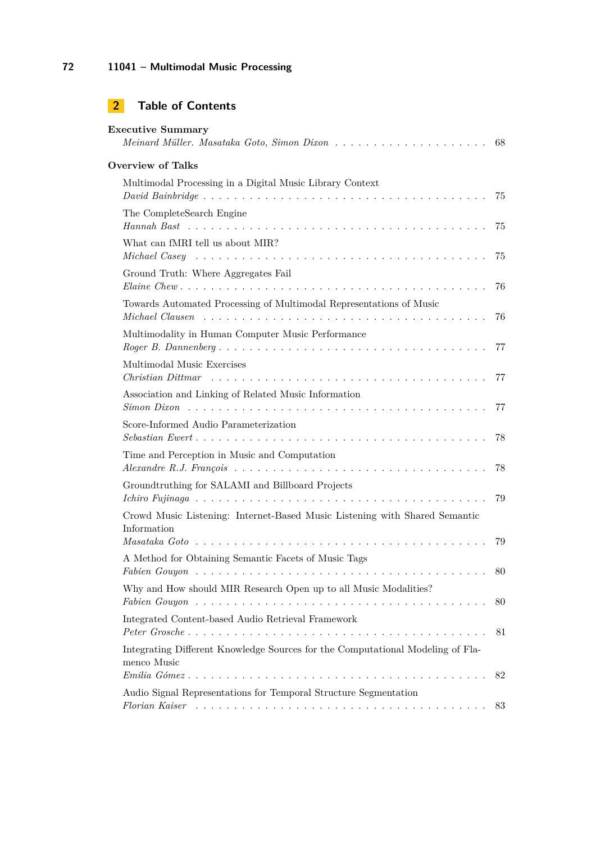# **2 Table of Contents**

| <b>Executive Summary</b>                                                                                                                                                                                                |     |
|-------------------------------------------------------------------------------------------------------------------------------------------------------------------------------------------------------------------------|-----|
| <b>Overview of Talks</b>                                                                                                                                                                                                |     |
| Multimodal Processing in a Digital Music Library Context                                                                                                                                                                |     |
| The CompleteSearch Engine                                                                                                                                                                                               |     |
| What can fMRI tell us about MIR?                                                                                                                                                                                        |     |
| Ground Truth: Where Aggregates Fail                                                                                                                                                                                     |     |
| Towards Automated Processing of Multimodal Representations of Music                                                                                                                                                     | 76  |
| Multimodality in Human Computer Music Performance                                                                                                                                                                       |     |
| Multimodal Music Exercises                                                                                                                                                                                              |     |
| Association and Linking of Related Music Information<br>$Simon$ $Dixon$ $\ldots$ $\ldots$ $\ldots$ $\ldots$ $\ldots$ $\ldots$ $\ldots$ $\ldots$ $\ldots$ $\ldots$ $\ldots$ $\ldots$ $\ldots$ $\ldots$ $\ldots$ $\ldots$ |     |
| Score-Informed Audio Parameterization                                                                                                                                                                                   |     |
| Time and Perception in Music and Computation                                                                                                                                                                            |     |
| Groundtruthing for SALAMI and Billboard Projects                                                                                                                                                                        | 79  |
| Crowd Music Listening: Internet-Based Music Listening with Shared Semantic<br>Information                                                                                                                               |     |
| A Method for Obtaining Semantic Facets of Music Tags                                                                                                                                                                    | 79  |
| Why and How should MIR Research Open up to all Music Modalities?                                                                                                                                                        | -80 |
|                                                                                                                                                                                                                         | 80  |
| Integrated Content-based Audio Retrieval Framework                                                                                                                                                                      | 81  |
| Integrating Different Knowledge Sources for the Computational Modeling of Fla-<br>menco Music<br>$Emilia Gómez \ldots \ldots \ldots \ldots \ldots \ldots \ldots \ldots \ldots \ldots \ldots \ldots \ldots$              |     |
| Audio Signal Representations for Temporal Structure Segmentation                                                                                                                                                        | 82  |
|                                                                                                                                                                                                                         | 83  |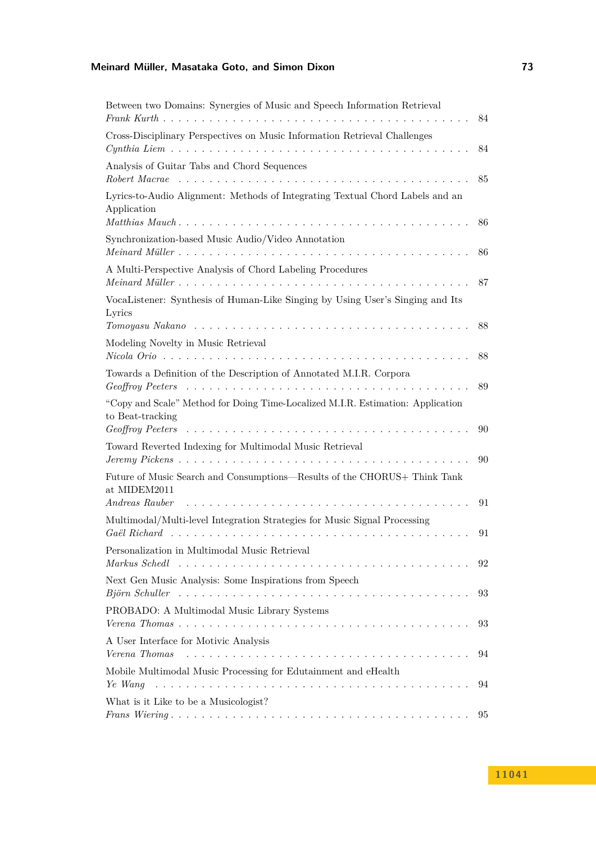| Between two Domains: Synergies of Music and Speech Information Retrieval                            | 84 |
|-----------------------------------------------------------------------------------------------------|----|
| Cross-Disciplinary Perspectives on Music Information Retrieval Challenges                           | 84 |
| Analysis of Guitar Tabs and Chord Sequences                                                         | 85 |
| Lyrics-to-Audio Alignment: Methods of Integrating Textual Chord Labels and an<br>Application        | 86 |
| Synchronization-based Music Audio/Video Annotation                                                  | 86 |
| A Multi-Perspective Analysis of Chord Labeling Procedures                                           | 87 |
| VocaListener: Synthesis of Human-Like Singing by Using User's Singing and Its<br>Lyrics             |    |
| Modeling Novelty in Music Retrieval                                                                 | 88 |
|                                                                                                     | 88 |
| Towards a Definition of the Description of Annotated M.I.R. Corpora                                 | 89 |
| "Copy and Scale" Method for Doing Time-Localized M.I.R. Estimation: Application<br>to Beat-tracking | 90 |
| Toward Reverted Indexing for Multimodal Music Retrieval                                             | 90 |
| Future of Music Search and Consumptions—Results of the CHORUS+ Think Tank<br>at MIDEM2011           |    |
| Andreas Rauber                                                                                      | 91 |
| Multimodal/Multi-level Integration Strategies for Music Signal Processing                           |    |
|                                                                                                     | 91 |
| Personalization in Multimodal Music Retrieval<br>Markus Schedl                                      | 92 |
| Next Gen Music Analysis: Some Inspirations from Speech<br>Björn Schuller                            | 93 |
| PROBADO: A Multimodal Music Library Systems                                                         | 93 |
| A User Interface for Motivic Analysis<br>Verena Thomas                                              | 94 |
| Mobile Multimodal Music Processing for Edutainment and eHealth<br>Ye Wang                           | 94 |
| What is it Like to be a Musicologist?                                                               |    |
|                                                                                                     | 95 |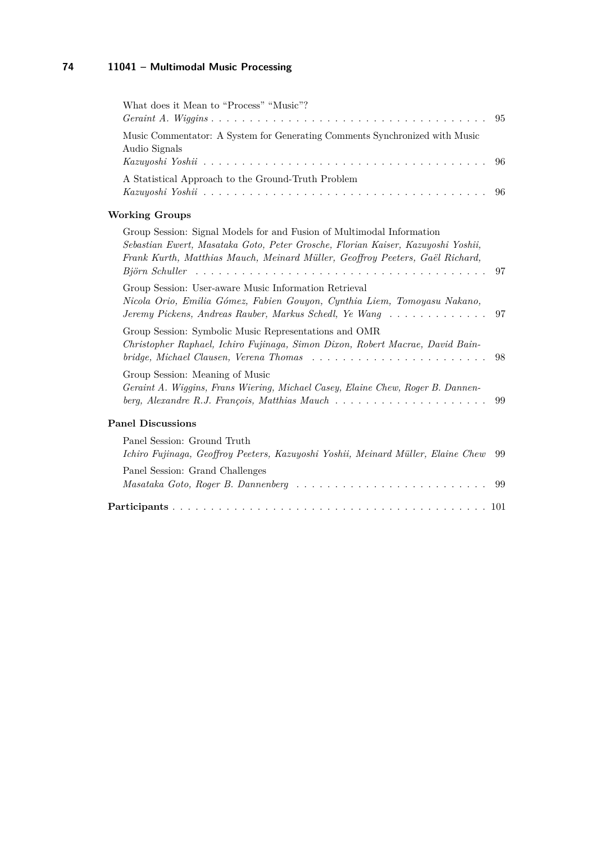| What does it Mean to "Process" "Music"?                                                                                                                                                                                                                                                                                                                           | 95  |
|-------------------------------------------------------------------------------------------------------------------------------------------------------------------------------------------------------------------------------------------------------------------------------------------------------------------------------------------------------------------|-----|
| Music Commentator: A System for Generating Comments Synchronized with Music<br>Audio Signals                                                                                                                                                                                                                                                                      | 96  |
| A Statistical Approach to the Ground-Truth Problem                                                                                                                                                                                                                                                                                                                | 96  |
| <b>Working Groups</b>                                                                                                                                                                                                                                                                                                                                             |     |
| Group Session: Signal Models for and Fusion of Multimodal Information<br>Sebastian Ewert, Masataka Goto, Peter Grosche, Florian Kaiser, Kazuyoshi Yoshii,<br>Frank Kurth, Matthias Mauch, Meinard Müller, Geoffroy Peeters, Gaël Richard,<br>$Bj\ddot{o}rn$ Schuller $\ldots \ldots \ldots \ldots \ldots \ldots \ldots \ldots \ldots \ldots \ldots \ldots \ldots$ | 97  |
| Group Session: User-aware Music Information Retrieval<br>Nicola Orio, Emilia Gómez, Fabien Gouyon, Cynthia Liem, Tomoyasu Nakano,<br>Jeremy Pickens, Andreas Rauber, Markus Schedl, Ye Wang                                                                                                                                                                       | 97  |
| Group Session: Symbolic Music Representations and OMR<br>Christopher Raphael, Ichiro Fujinaga, Simon Dixon, Robert Macrae, David Bain-<br>bridge, Michael Clausen, Verena Thomas                                                                                                                                                                                  | 98  |
| Group Session: Meaning of Music<br>Geraint A. Wiggins, Frans Wiering, Michael Casey, Elaine Chew, Roger B. Dannen-<br>berg, Alexandre R.J. François, Matthias Mauch $\ldots \ldots \ldots \ldots \ldots \ldots \ldots$                                                                                                                                            | 99  |
| <b>Panel Discussions</b>                                                                                                                                                                                                                                                                                                                                          |     |
| Panel Session: Ground Truth<br>Ichiro Fujinaga, Geoffroy Peeters, Kazuyoshi Yoshii, Meinard Müller, Elaine Chew                                                                                                                                                                                                                                                   | 99  |
| Panel Session: Grand Challenges                                                                                                                                                                                                                                                                                                                                   | 99  |
|                                                                                                                                                                                                                                                                                                                                                                   | 101 |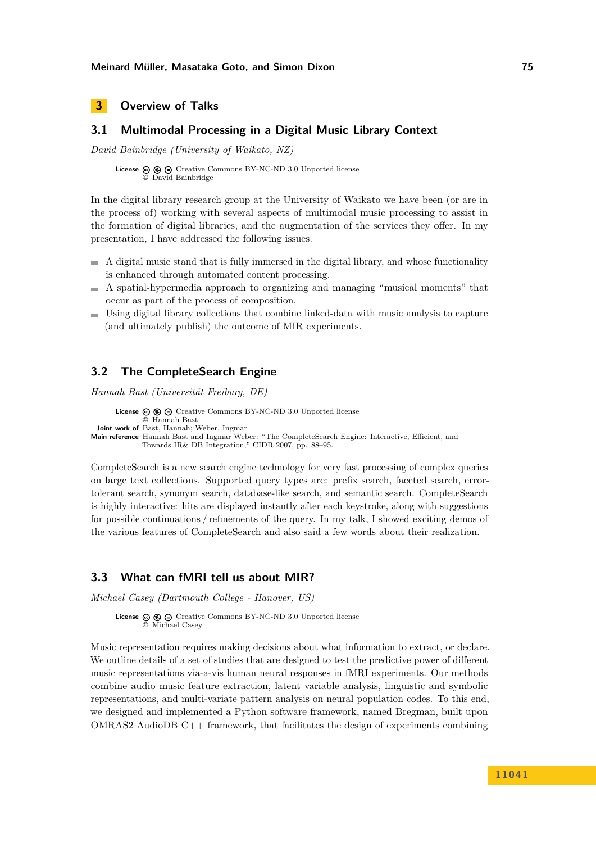# <span id="page-7-0"></span>**3 Overview of Talks**

# <span id="page-7-1"></span>**3.1 Multimodal Processing in a Digital Music Library Context**

*David Bainbridge (University of Waikato, NZ)*

License  $\circledcirc \circledcirc \circ$  [Creative Commons BY-NC-ND 3.0 Unported](http://creativecommons.org/licenses/by-nc-nd/3.0/) license © [David Bainbridge](#page-7-1)

In the digital library research group at the University of Waikato we have been (or are in the process of) working with several aspects of multimodal music processing to assist in the formation of digital libraries, and the augmentation of the services they offer. In my presentation, I have addressed the following issues.

- $\blacksquare$  A digital music stand that is fully immersed in the digital library, and whose functionality is enhanced through automated content processing.
- $\blacksquare$  A spatial-hypermedia approach to organizing and managing "musical moments" that occur as part of the process of composition.
- Using digital library collections that combine linked-data with music analysis to capture (and ultimately publish) the outcome of MIR experiments.

# <span id="page-7-2"></span>**3.2 The CompleteSearch Engine**

*Hannah Bast (Universität Freiburg, DE)*

**License**  $\textcircled{e}$   $\textcircled{e}$   $\textcircled{e}$  [Creative Commons BY-NC-ND 3.0 Unported](http://creativecommons.org/licenses/by-nc-nd/3.0/) license © [Hannah Bast](#page-7-2) **Joint work of** Bast, Hannah; Weber, Ingmar **Main reference** [Hannah Bast and Ingmar Weber: "The CompleteSearch Engine: Interactive, Efficient, and](http://www.cidrdb.org/cidr2007/papers/cidr07p09.pdf) [Towards IR& DB Integration," CIDR 2007, pp. 88–95.](http://www.cidrdb.org/cidr2007/papers/cidr07p09.pdf)

CompleteSearch is a new search engine technology for very fast processing of complex queries on large text collections. Supported query types are: prefix search, faceted search, errortolerant search, synonym search, database-like search, and semantic search. CompleteSearch is highly interactive: hits are displayed instantly after each keystroke, along with suggestions for possible continuations / refinements of the query. In my talk, I showed exciting demos of the various features of CompleteSearch and also said a few words about their realization.

### <span id="page-7-3"></span>**3.3 What can fMRI tell us about MIR?**

*Michael Casey (Dartmouth College - Hanover, US)*

```
License \circledcirc \circledcirc \circCreative Commons BY-NC-ND 3.0 Unported license
© Michael Casey
```
Music representation requires making decisions about what information to extract, or declare. We outline details of a set of studies that are designed to test the predictive power of different music representations via-a-vis human neural responses in fMRI experiments. Our methods combine audio music feature extraction, latent variable analysis, linguistic and symbolic representations, and multi-variate pattern analysis on neural population codes. To this end, we designed and implemented a Python software framework, named Bregman, built upon OMRAS2 AudioDB C++ framework, that facilitates the design of experiments combining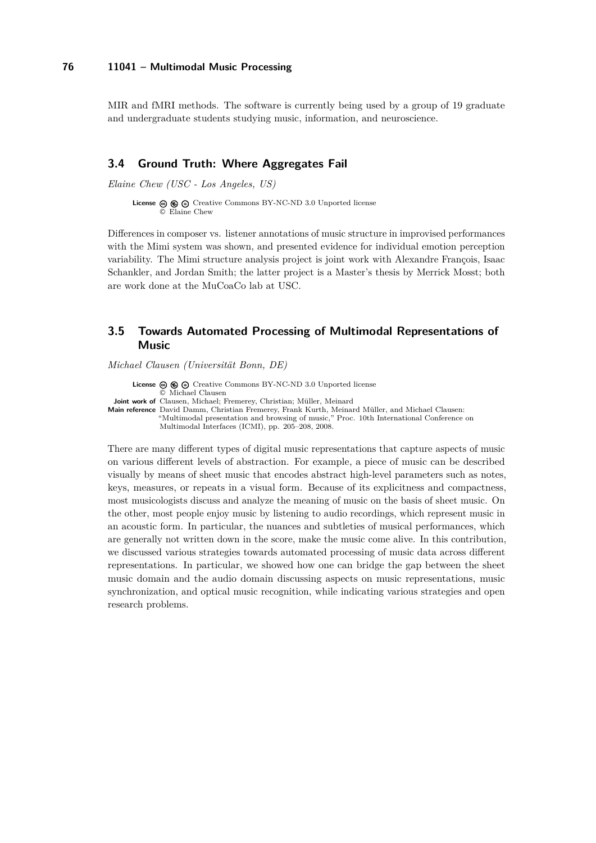MIR and fMRI methods. The software is currently being used by a group of 19 graduate and undergraduate students studying music, information, and neuroscience.

### <span id="page-8-0"></span>**3.4 Ground Truth: Where Aggregates Fail**

*Elaine Chew (USC - Los Angeles, US)*

**License**  $\circledcirc$   $\circledcirc$   $\circlearrowright$  [Creative Commons BY-NC-ND 3.0 Unported](http://creativecommons.org/licenses/by-nc-nd/3.0/) license © [Elaine Chew](#page-8-0)

Differences in composer vs. listener annotations of music structure in improvised performances with the Mimi system was shown, and presented evidence for individual emotion perception variability. The Mimi structure analysis project is joint work with Alexandre François, Isaac Schankler, and Jordan Smith; the latter project is a Master's thesis by Merrick Mosst; both are work done at the MuCoaCo lab at USC.

# <span id="page-8-1"></span>**3.5 Towards Automated Processing of Multimodal Representations of Music**

*Michael Clausen (Universität Bonn, DE)*

**License ⓒ <b>⑥ ⓒ** [Creative Commons BY-NC-ND 3.0 Unported](http://creativecommons.org/licenses/by-nc-nd/3.0/) license © [Michael Clausen](#page-8-1) **Joint work of** Clausen, Michael; Fremerey, Christian; Müller, Meinard **Main reference** [David Damm, Christian Fremerey, Frank Kurth, Meinard Müller, and Michael Clausen:](#page-0-1) ["Multimodal presentation and browsing of music," Proc. 10th International Conference on](#page-0-1) [Multimodal Interfaces \(ICMI\), pp. 205–208, 2008.](#page-0-1)

There are many different types of digital music representations that capture aspects of music on various different levels of abstraction. For example, a piece of music can be described visually by means of sheet music that encodes abstract high-level parameters such as notes, keys, measures, or repeats in a visual form. Because of its explicitness and compactness, most musicologists discuss and analyze the meaning of music on the basis of sheet music. On the other, most people enjoy music by listening to audio recordings, which represent music in an acoustic form. In particular, the nuances and subtleties of musical performances, which are generally not written down in the score, make the music come alive. In this contribution, we discussed various strategies towards automated processing of music data across different representations. In particular, we showed how one can bridge the gap between the sheet music domain and the audio domain discussing aspects on music representations, music synchronization, and optical music recognition, while indicating various strategies and open research problems.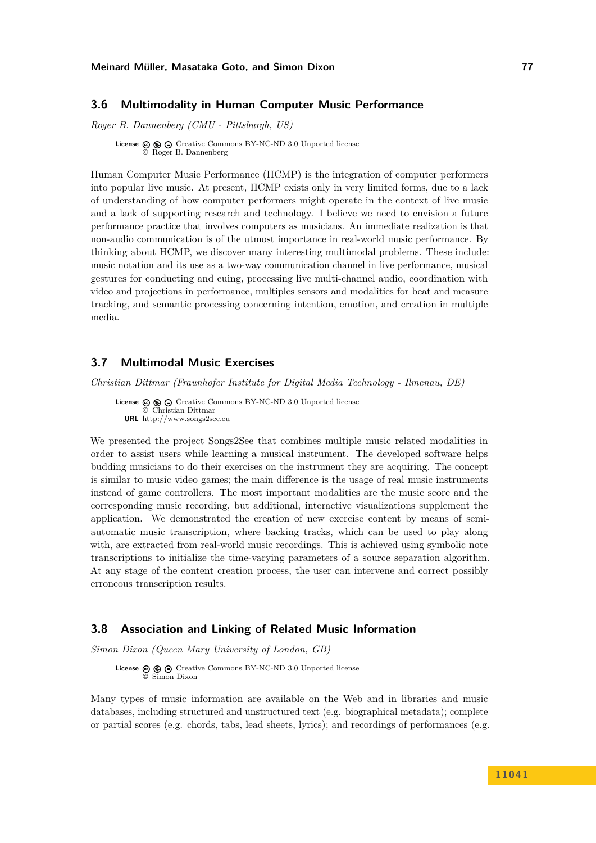### <span id="page-9-0"></span>**3.6 Multimodality in Human Computer Music Performance**

*Roger B. Dannenberg (CMU - Pittsburgh, US)*

**License**  $\textcircled{e}$   $\textcircled{e}$   $\textcircled{e}$  [Creative Commons BY-NC-ND 3.0 Unported](http://creativecommons.org/licenses/by-nc-nd/3.0/) license © [Roger B. Dannenberg](#page-9-0)

Human Computer Music Performance (HCMP) is the integration of computer performers into popular live music. At present, HCMP exists only in very limited forms, due to a lack of understanding of how computer performers might operate in the context of live music and a lack of supporting research and technology. I believe we need to envision a future performance practice that involves computers as musicians. An immediate realization is that non-audio communication is of the utmost importance in real-world music performance. By thinking about HCMP, we discover many interesting multimodal problems. These include: music notation and its use as a two-way communication channel in live performance, musical gestures for conducting and cuing, processing live multi-channel audio, coordination with video and projections in performance, multiples sensors and modalities for beat and measure tracking, and semantic processing concerning intention, emotion, and creation in multiple media.

### <span id="page-9-1"></span>**3.7 Multimodal Music Exercises**

*Christian Dittmar (Fraunhofer Institute for Digital Media Technology - Ilmenau, DE)*

**License**  $\circledcirc$   $\circledcirc$   $\circlearrowright$  [Creative Commons BY-NC-ND 3.0 Unported](http://creativecommons.org/licenses/by-nc-nd/3.0/) license © [Christian Dittmar](#page-9-1) **URL** <http://www.songs2see.eu>

We presented the project Songs2See that combines multiple music related modalities in order to assist users while learning a musical instrument. The developed software helps budding musicians to do their exercises on the instrument they are acquiring. The concept is similar to music video games; the main difference is the usage of real music instruments instead of game controllers. The most important modalities are the music score and the corresponding music recording, but additional, interactive visualizations supplement the application. We demonstrated the creation of new exercise content by means of semiautomatic music transcription, where backing tracks, which can be used to play along with, are extracted from real-world music recordings. This is achieved using symbolic note transcriptions to initialize the time-varying parameters of a source separation algorithm. At any stage of the content creation process, the user can intervene and correct possibly erroneous transcription results.

### <span id="page-9-2"></span>**3.8 Association and Linking of Related Music Information**

*Simon Dixon (Queen Mary University of London, GB)*

**License**  $\textcircled{e}$   $\textcircled{e}$   $\textcircled{e}$  [Creative Commons BY-NC-ND 3.0 Unported](http://creativecommons.org/licenses/by-nc-nd/3.0/) license © [Simon Dixon](#page-9-2)

Many types of music information are available on the Web and in libraries and music databases, including structured and unstructured text (e.g. biographical metadata); complete or partial scores (e.g. chords, tabs, lead sheets, lyrics); and recordings of performances (e.g.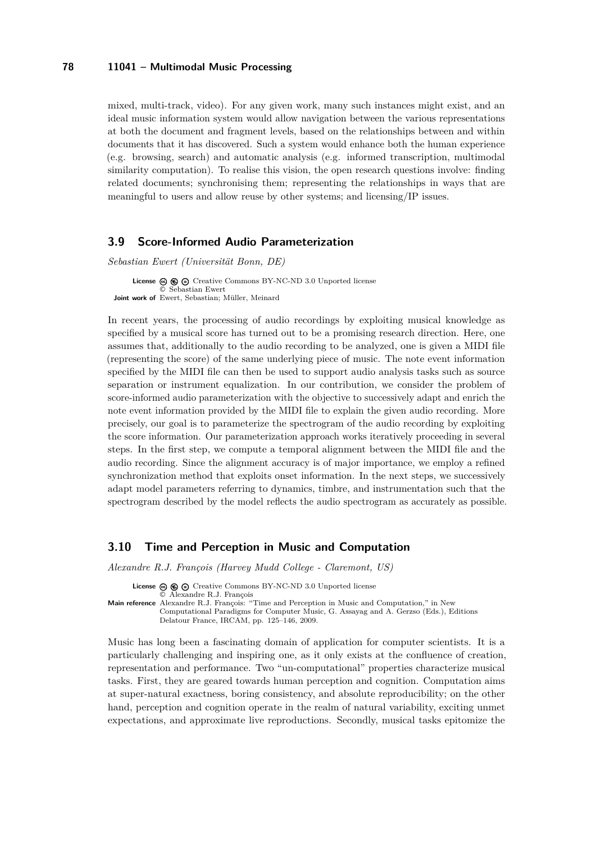mixed, multi-track, video). For any given work, many such instances might exist, and an ideal music information system would allow navigation between the various representations at both the document and fragment levels, based on the relationships between and within documents that it has discovered. Such a system would enhance both the human experience (e.g. browsing, search) and automatic analysis (e.g. informed transcription, multimodal similarity computation). To realise this vision, the open research questions involve: finding related documents; synchronising them; representing the relationships in ways that are meaningful to users and allow reuse by other systems; and licensing/IP issues.

### <span id="page-10-0"></span>**3.9 Score-Informed Audio Parameterization**

*Sebastian Ewert (Universität Bonn, DE)*

License  $\textcircled{e}$   $\textcircled{e}$   $\textcircled{e}$  [Creative Commons BY-NC-ND 3.0 Unported](http://creativecommons.org/licenses/by-nc-nd/3.0/) license © [Sebastian Ewert](#page-10-0) **Joint work of** Ewert, Sebastian; Müller, Meinard

In recent years, the processing of audio recordings by exploiting musical knowledge as specified by a musical score has turned out to be a promising research direction. Here, one assumes that, additionally to the audio recording to be analyzed, one is given a MIDI file (representing the score) of the same underlying piece of music. The note event information specified by the MIDI file can then be used to support audio analysis tasks such as source separation or instrument equalization. In our contribution, we consider the problem of score-informed audio parameterization with the objective to successively adapt and enrich the note event information provided by the MIDI file to explain the given audio recording. More precisely, our goal is to parameterize the spectrogram of the audio recording by exploiting the score information. Our parameterization approach works iteratively proceeding in several steps. In the first step, we compute a temporal alignment between the MIDI file and the audio recording. Since the alignment accuracy is of major importance, we employ a refined synchronization method that exploits onset information. In the next steps, we successively adapt model parameters referring to dynamics, timbre, and instrumentation such that the spectrogram described by the model reflects the audio spectrogram as accurately as possible.

#### <span id="page-10-1"></span>**3.10 Time and Perception in Music and Computation**

*Alexandre R.J. François (Harvey Mudd College - Claremont, US)*

License  $\circledcirc \circledcirc \circ$  [Creative Commons BY-NC-ND 3.0 Unported](http://creativecommons.org/licenses/by-nc-nd/3.0/) license © [Alexandre R.J. François](#page-10-1) **Main reference** [Alexandre R.J. François: "Time and Perception in Music and Computation," in New](Alexandre R.J. Fran�ois: ``Time and Perception in Music and Computation,) [Computational Paradigms for Computer Music, G. Assayag and A. Gerzso \(Eds.\), Editions](Alexandre R.J. Fran�ois: ``Time and Perception in Music and Computation,) [Delatour France, IRCAM, pp. 125–146, 2009.](Alexandre R.J. Fran�ois: ``Time and Perception in Music and Computation,)

Music has long been a fascinating domain of application for computer scientists. It is a particularly challenging and inspiring one, as it only exists at the confluence of creation, representation and performance. Two "un-computational" properties characterize musical tasks. First, they are geared towards human perception and cognition. Computation aims at super-natural exactness, boring consistency, and absolute reproducibility; on the other hand, perception and cognition operate in the realm of natural variability, exciting unmet expectations, and approximate live reproductions. Secondly, musical tasks epitomize the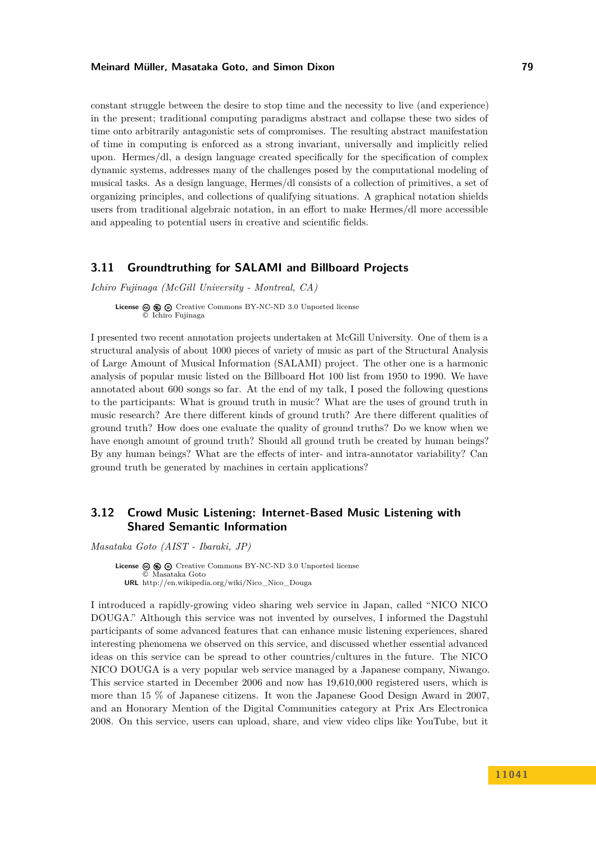constant struggle between the desire to stop time and the necessity to live (and experience) in the present; traditional computing paradigms abstract and collapse these two sides of time onto arbitrarily antagonistic sets of compromises. The resulting abstract manifestation of time in computing is enforced as a strong invariant, universally and implicitly relied upon. Hermes/dl, a design language created specifically for the specification of complex dynamic systems, addresses many of the challenges posed by the computational modeling of musical tasks. As a design language, Hermes/dl consists of a collection of primitives, a set of organizing principles, and collections of qualifying situations. A graphical notation shields users from traditional algebraic notation, in an effort to make Hermes/dl more accessible and appealing to potential users in creative and scientific fields.

### <span id="page-11-0"></span>**3.11 Groundtruthing for SALAMI and Billboard Projects**

*Ichiro Fujinaga (McGill University - Montreal, CA)*

**License**  $\textcircled{e}$   $\textcircled{e}$   $\textcircled{e}$  [Creative Commons BY-NC-ND 3.0 Unported](http://creativecommons.org/licenses/by-nc-nd/3.0/) license © [Ichiro Fujinaga](#page-11-0)

I presented two recent annotation projects undertaken at McGill University. One of them is a structural analysis of about 1000 pieces of variety of music as part of the Structural Analysis of Large Amount of Musical Information (SALAMI) project. The other one is a harmonic analysis of popular music listed on the Billboard Hot 100 list from 1950 to 1990. We have annotated about 600 songs so far. At the end of my talk, I posed the following questions to the participants: What is ground truth in music? What are the uses of ground truth in music research? Are there different kinds of ground truth? Are there different qualities of ground truth? How does one evaluate the quality of ground truths? Do we know when we have enough amount of ground truth? Should all ground truth be created by human beings? By any human beings? What are the effects of inter- and intra-annotator variability? Can ground truth be generated by machines in certain applications?

# <span id="page-11-1"></span>**3.12 Crowd Music Listening: Internet-Based Music Listening with Shared Semantic Information**

*Masataka Goto (AIST - Ibaraki, JP)*

**License**  $\textcircled{e}$   $\textcircled{e}$  [Creative Commons BY-NC-ND 3.0 Unported](http://creativecommons.org/licenses/by-nc-nd/3.0/) license © [Masataka Goto](#page-11-1) **URL** [http://en.wikipedia.org/wiki/Nico\\_Nico\\_Douga](http://en.wikipedia.org/wiki/Nico_Nico_Douga )

I introduced a rapidly-growing video sharing web service in Japan, called "NICO NICO DOUGA." Although this service was not invented by ourselves, I informed the Dagstuhl participants of some advanced features that can enhance music listening experiences, shared interesting phenomena we observed on this service, and discussed whether essential advanced ideas on this service can be spread to other countries/cultures in the future. The NICO NICO DOUGA is a very popular web service managed by a Japanese company, Niwango. This service started in December 2006 and now has 19,610,000 registered users, which is more than 15 % of Japanese citizens. It won the Japanese Good Design Award in 2007, and an Honorary Mention of the Digital Communities category at Prix Ars Electronica 2008. On this service, users can upload, share, and view video clips like YouTube, but it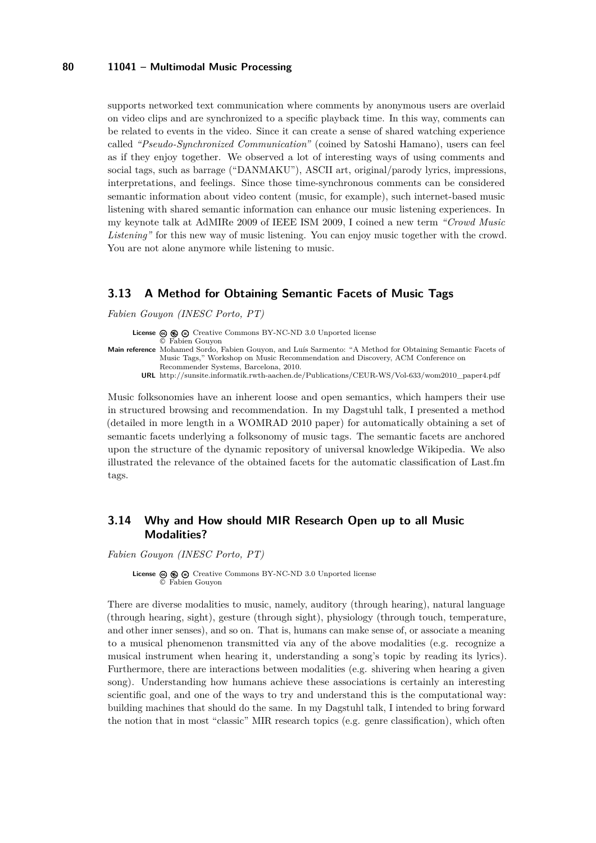supports networked text communication where comments by anonymous users are overlaid on video clips and are synchronized to a specific playback time. In this way, comments can be related to events in the video. Since it can create a sense of shared watching experience called *"Pseudo-Synchronized Communication"* (coined by Satoshi Hamano), users can feel as if they enjoy together. We observed a lot of interesting ways of using comments and social tags, such as barrage ("DANMAKU"), ASCII art, original/parody lyrics, impressions, interpretations, and feelings. Since those time-synchronous comments can be considered semantic information about video content (music, for example), such internet-based music listening with shared semantic information can enhance our music listening experiences. In my keynote talk at AdMIRe 2009 of IEEE ISM 2009, I coined a new term *"Crowd Music Listening"* for this new way of music listening. You can enjoy music together with the crowd. You are not alone anymore while listening to music.

# <span id="page-12-0"></span>**3.13 A Method for Obtaining Semantic Facets of Music Tags**

*Fabien Gouyon (INESC Porto, PT)*

**License**  $\odot$   $\odot$   $\odot$  [Creative Commons BY-NC-ND 3.0 Unported](http://creativecommons.org/licenses/by-nc-nd/3.0/) license © [Fabien Gouyon](#page-12-0) **Main reference** [Mohamed Sordo, Fabien Gouyon, and Luís Sarmento: "A Method for Obtaining Semantic Facets of](http://sunsite.informatik.rwth-aachen.de/Publications/CEUR-WS/Vol-633/wom2010_paper4.pdf) [Music Tags," Workshop on Music Recommendation and Discovery, ACM Conference on](http://sunsite.informatik.rwth-aachen.de/Publications/CEUR-WS/Vol-633/wom2010_paper4.pdf) [Recommender Systems, Barcelona, 2010.](http://sunsite.informatik.rwth-aachen.de/Publications/CEUR-WS/Vol-633/wom2010_paper4.pdf)

**URL** [http://sunsite.informatik.rwth-aachen.de/Publications/CEUR-WS/Vol-633/wom2010\\_paper4.pdf](http://sunsite.informatik.rwth-aachen.de/Publications/CEUR-WS/Vol-633/wom2010_paper4.pdf)

Music folksonomies have an inherent loose and open semantics, which hampers their use in structured browsing and recommendation. In my Dagstuhl talk, I presented a method (detailed in more length in a WOMRAD 2010 paper) for automatically obtaining a set of semantic facets underlying a folksonomy of music tags. The semantic facets are anchored upon the structure of the dynamic repository of universal knowledge Wikipedia. We also illustrated the relevance of the obtained facets for the automatic classification of Last.fm tags.

# <span id="page-12-1"></span>**3.14 Why and How should MIR Research Open up to all Music Modalities?**

*Fabien Gouyon (INESC Porto, PT)*

License  $\circledcirc$   $\circledcirc$   $\circ$  [Creative Commons BY-NC-ND 3.0 Unported](http://creativecommons.org/licenses/by-nc-nd/3.0/) license © [Fabien Gouyon](#page-12-1)

There are diverse modalities to music, namely, auditory (through hearing), natural language (through hearing, sight), gesture (through sight), physiology (through touch, temperature, and other inner senses), and so on. That is, humans can make sense of, or associate a meaning to a musical phenomenon transmitted via any of the above modalities (e.g. recognize a musical instrument when hearing it, understanding a song's topic by reading its lyrics). Furthermore, there are interactions between modalities (e.g. shivering when hearing a given song). Understanding how humans achieve these associations is certainly an interesting scientific goal, and one of the ways to try and understand this is the computational way: building machines that should do the same. In my Dagstuhl talk, I intended to bring forward the notion that in most "classic" MIR research topics (e.g. genre classification), which often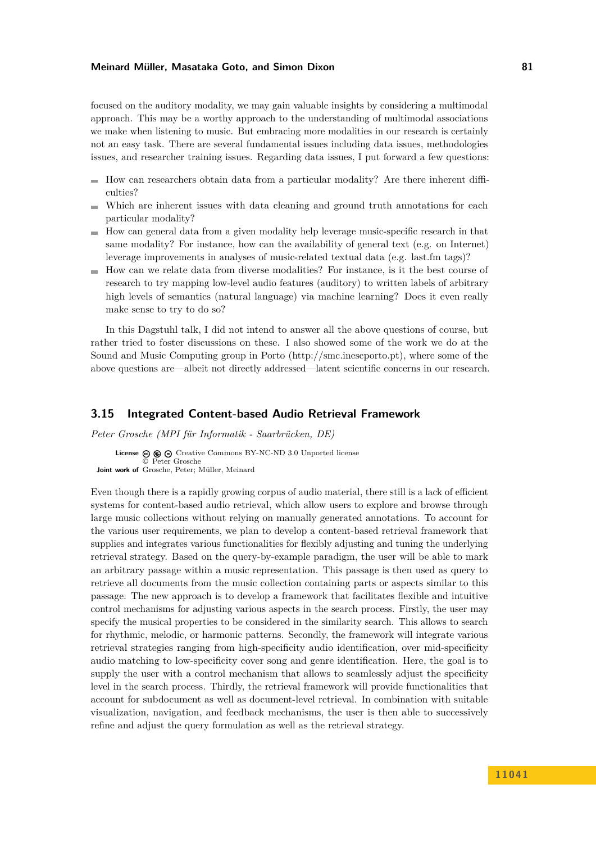focused on the auditory modality, we may gain valuable insights by considering a multimodal approach. This may be a worthy approach to the understanding of multimodal associations we make when listening to music. But embracing more modalities in our research is certainly not an easy task. There are several fundamental issues including data issues, methodologies issues, and researcher training issues. Regarding data issues, I put forward a few questions:

- $\blacksquare$  How can researchers obtain data from a particular modality? Are there inherent difficulties?
- Which are inherent issues with data cleaning and ground truth annotations for each particular modality?
- $\blacksquare$  How can general data from a given modality help leverage music-specific research in that same modality? For instance, how can the availability of general text (e.g. on Internet) leverage improvements in analyses of music-related textual data (e.g. last.fm tags)?
- $\blacksquare$  How can we relate data from diverse modalities? For instance, is it the best course of research to try mapping low-level audio features (auditory) to written labels of arbitrary high levels of semantics (natural language) via machine learning? Does it even really make sense to try to do so?

In this Dagstuhl talk, I did not intend to answer all the above questions of course, but rather tried to foster discussions on these. I also showed some of the work we do at the Sound and Music Computing group in Porto (http://smc.inescporto.pt), where some of the above questions are—albeit not directly addressed—latent scientific concerns in our research.

### <span id="page-13-0"></span>**3.15 Integrated Content-based Audio Retrieval Framework**

*Peter Grosche (MPI für Informatik - Saarbrücken, DE)*

**License**  $\textcircled{e}$   $\textcircled{e}$   $\textcircled{e}$  [Creative Commons BY-NC-ND 3.0 Unported](http://creativecommons.org/licenses/by-nc-nd/3.0/) license © [Peter Grosche](#page-13-0) **Joint work of** Grosche, Peter; Müller, Meinard

Even though there is a rapidly growing corpus of audio material, there still is a lack of efficient systems for content-based audio retrieval, which allow users to explore and browse through large music collections without relying on manually generated annotations. To account for the various user requirements, we plan to develop a content-based retrieval framework that supplies and integrates various functionalities for flexibly adjusting and tuning the underlying retrieval strategy. Based on the query-by-example paradigm, the user will be able to mark an arbitrary passage within a music representation. This passage is then used as query to retrieve all documents from the music collection containing parts or aspects similar to this passage. The new approach is to develop a framework that facilitates flexible and intuitive control mechanisms for adjusting various aspects in the search process. Firstly, the user may specify the musical properties to be considered in the similarity search. This allows to search for rhythmic, melodic, or harmonic patterns. Secondly, the framework will integrate various retrieval strategies ranging from high-specificity audio identification, over mid-specificity audio matching to low-specificity cover song and genre identification. Here, the goal is to supply the user with a control mechanism that allows to seamlessly adjust the specificity level in the search process. Thirdly, the retrieval framework will provide functionalities that account for subdocument as well as document-level retrieval. In combination with suitable visualization, navigation, and feedback mechanisms, the user is then able to successively refine and adjust the query formulation as well as the retrieval strategy.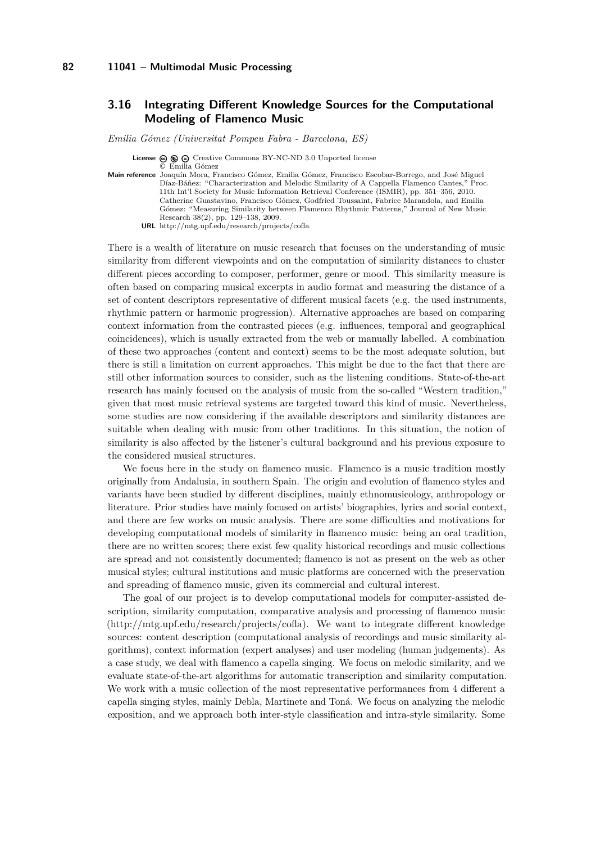# <span id="page-14-0"></span>**3.16 Integrating Different Knowledge Sources for the Computational Modeling of Flamenco Music**

*Emilia Gómez (Universitat Pompeu Fabra - Barcelona, ES)*

**License**  $\odot$   $\odot$   $\odot$  [Creative Commons BY-NC-ND 3.0 Unported](http://creativecommons.org/licenses/by-nc-nd/3.0/) license

© [Emilia Gómez](#page-14-0)

**Main reference** [Joaquín Mora, Francisco Gómez, Emilia Gómez, Francisco Escobar-Borrego, and José Miguel](http://mtg.upf.edu/research/projects/cofla) [Díaz-Báñez: "Characterization and Melodic Similarity of A Cappella Flamenco Cantes," Proc.](http://mtg.upf.edu/research/projects/cofla) [11th Int'l Society for Music Information Retrieval Conference \(ISMIR\), pp. 351–356, 2010.](http://mtg.upf.edu/research/projects/cofla) [Catherine Guastavino, Francisco Gómez, Godfried Toussaint, Fabrice Marandola, and Emilia](http://mtg.upf.edu/research/projects/cofla) [Gómez: "Measuring Similarity between Flamenco Rhythmic Patterns," Journal of New Music](http://mtg.upf.edu/research/projects/cofla) [Research 38\(2\), pp. 129–138, 2009.](http://mtg.upf.edu/research/projects/cofla) **URL** <http://mtg.upf.edu/research/projects/cofla>

There is a wealth of literature on music research that focuses on the understanding of music similarity from different viewpoints and on the computation of similarity distances to cluster different pieces according to composer, performer, genre or mood. This similarity measure is often based on comparing musical excerpts in audio format and measuring the distance of a set of content descriptors representative of different musical facets (e.g. the used instruments, rhythmic pattern or harmonic progression). Alternative approaches are based on comparing context information from the contrasted pieces (e.g. influences, temporal and geographical coincidences), which is usually extracted from the web or manually labelled. A combination of these two approaches (content and context) seems to be the most adequate solution, but there is still a limitation on current approaches. This might be due to the fact that there are still other information sources to consider, such as the listening conditions. State-of-the-art research has mainly focused on the analysis of music from the so-called "Western tradition," given that most music retrieval systems are targeted toward this kind of music. Nevertheless, some studies are now considering if the available descriptors and similarity distances are suitable when dealing with music from other traditions. In this situation, the notion of similarity is also affected by the listener's cultural background and his previous exposure to the considered musical structures.

We focus here in the study on flamenco music. Flamenco is a music tradition mostly originally from Andalusia, in southern Spain. The origin and evolution of flamenco styles and variants have been studied by different disciplines, mainly ethnomusicology, anthropology or literature. Prior studies have mainly focused on artists' biographies, lyrics and social context, and there are few works on music analysis. There are some difficulties and motivations for developing computational models of similarity in flamenco music: being an oral tradition, there are no written scores; there exist few quality historical recordings and music collections are spread and not consistently documented; flamenco is not as present on the web as other musical styles; cultural institutions and music platforms are concerned with the preservation and spreading of flamenco music, given its commercial and cultural interest.

The goal of our project is to develop computational models for computer-assisted description, similarity computation, comparative analysis and processing of flamenco music (http://mtg.upf.edu/research/projects/cofla). We want to integrate different knowledge sources: content description (computational analysis of recordings and music similarity algorithms), context information (expert analyses) and user modeling (human judgements). As a case study, we deal with flamenco a capella singing. We focus on melodic similarity, and we evaluate state-of-the-art algorithms for automatic transcription and similarity computation. We work with a music collection of the most representative performances from 4 different a capella singing styles, mainly Debla, Martinete and Toná. We focus on analyzing the melodic exposition, and we approach both inter-style classification and intra-style similarity. Some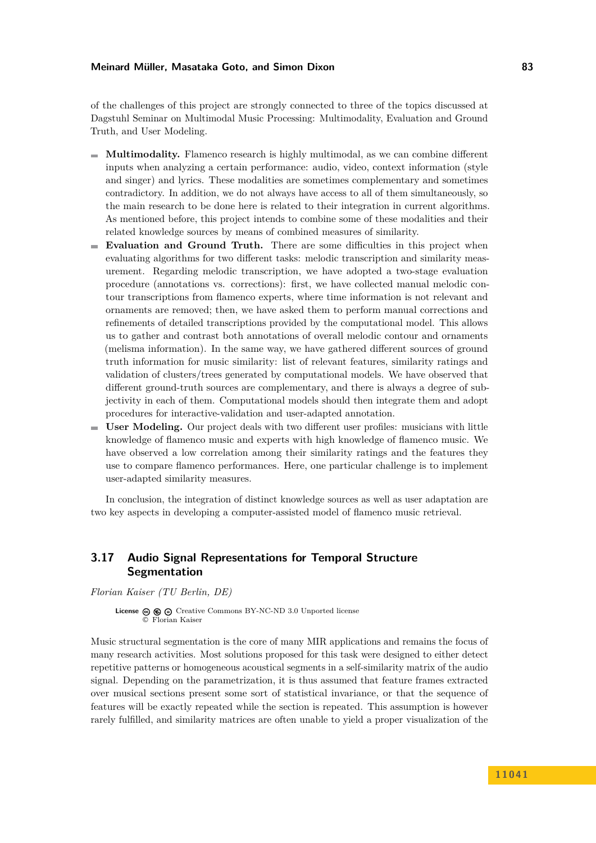of the challenges of this project are strongly connected to three of the topics discussed at Dagstuhl Seminar on Multimodal Music Processing: Multimodality, Evaluation and Ground Truth, and User Modeling.

- **Multimodality.** Flamenco research is highly multimodal, as we can combine different inputs when analyzing a certain performance: audio, video, context information (style and singer) and lyrics. These modalities are sometimes complementary and sometimes contradictory. In addition, we do not always have access to all of them simultaneously, so the main research to be done here is related to their integration in current algorithms. As mentioned before, this project intends to combine some of these modalities and their related knowledge sources by means of combined measures of similarity.
- **Evaluation and Ground Truth.** There are some difficulties in this project when evaluating algorithms for two different tasks: melodic transcription and similarity measurement. Regarding melodic transcription, we have adopted a two-stage evaluation procedure (annotations vs. corrections): first, we have collected manual melodic contour transcriptions from flamenco experts, where time information is not relevant and ornaments are removed; then, we have asked them to perform manual corrections and refinements of detailed transcriptions provided by the computational model. This allows us to gather and contrast both annotations of overall melodic contour and ornaments (melisma information). In the same way, we have gathered different sources of ground truth information for music similarity: list of relevant features, similarity ratings and validation of clusters/trees generated by computational models. We have observed that different ground-truth sources are complementary, and there is always a degree of subjectivity in each of them. Computational models should then integrate them and adopt procedures for interactive-validation and user-adapted annotation.
- **User Modeling.** Our project deals with two different user profiles: musicians with little m. knowledge of flamenco music and experts with high knowledge of flamenco music. We have observed a low correlation among their similarity ratings and the features they use to compare flamenco performances. Here, one particular challenge is to implement user-adapted similarity measures.

In conclusion, the integration of distinct knowledge sources as well as user adaptation are two key aspects in developing a computer-assisted model of flamenco music retrieval.

# <span id="page-15-0"></span>**3.17 Audio Signal Representations for Temporal Structure Segmentation**

*Florian Kaiser (TU Berlin, DE)*

License  $\circledcirc$   $\circledcirc$  [Creative Commons BY-NC-ND 3.0 Unported](http://creativecommons.org/licenses/by-nc-nd/3.0/) license © [Florian Kaiser](#page-15-0)

Music structural segmentation is the core of many MIR applications and remains the focus of many research activities. Most solutions proposed for this task were designed to either detect repetitive patterns or homogeneous acoustical segments in a self-similarity matrix of the audio signal. Depending on the parametrization, it is thus assumed that feature frames extracted over musical sections present some sort of statistical invariance, or that the sequence of features will be exactly repeated while the section is repeated. This assumption is however rarely fulfilled, and similarity matrices are often unable to yield a proper visualization of the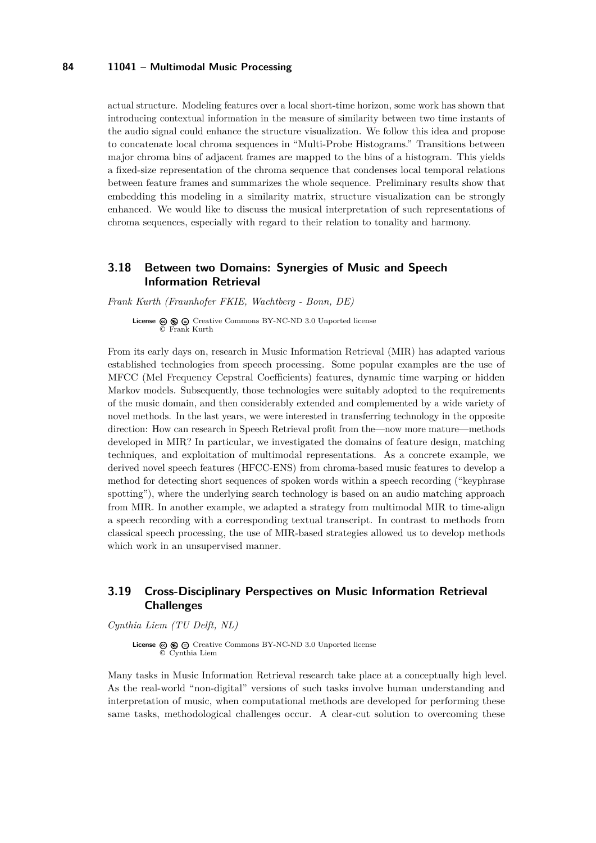actual structure. Modeling features over a local short-time horizon, some work has shown that introducing contextual information in the measure of similarity between two time instants of the audio signal could enhance the structure visualization. We follow this idea and propose to concatenate local chroma sequences in "Multi-Probe Histograms." Transitions between major chroma bins of adjacent frames are mapped to the bins of a histogram. This yields a fixed-size representation of the chroma sequence that condenses local temporal relations between feature frames and summarizes the whole sequence. Preliminary results show that embedding this modeling in a similarity matrix, structure visualization can be strongly enhanced. We would like to discuss the musical interpretation of such representations of chroma sequences, especially with regard to their relation to tonality and harmony.

# <span id="page-16-0"></span>**3.18 Between two Domains: Synergies of Music and Speech Information Retrieval**

*Frank Kurth (Fraunhofer FKIE, Wachtberg - Bonn, DE)*

**License**  $\circledcirc$   $\circledcirc$   $\circlearrowright$  [Creative Commons BY-NC-ND 3.0 Unported](http://creativecommons.org/licenses/by-nc-nd/3.0/) license © [Frank Kurth](#page-16-0)

From its early days on, research in Music Information Retrieval (MIR) has adapted various established technologies from speech processing. Some popular examples are the use of MFCC (Mel Frequency Cepstral Coefficients) features, dynamic time warping or hidden Markov models. Subsequently, those technologies were suitably adopted to the requirements of the music domain, and then considerably extended and complemented by a wide variety of novel methods. In the last years, we were interested in transferring technology in the opposite direction: How can research in Speech Retrieval profit from the—now more mature—methods developed in MIR? In particular, we investigated the domains of feature design, matching techniques, and exploitation of multimodal representations. As a concrete example, we derived novel speech features (HFCC-ENS) from chroma-based music features to develop a method for detecting short sequences of spoken words within a speech recording ("keyphrase spotting"), where the underlying search technology is based on an audio matching approach from MIR. In another example, we adapted a strategy from multimodal MIR to time-align a speech recording with a corresponding textual transcript. In contrast to methods from classical speech processing, the use of MIR-based strategies allowed us to develop methods which work in an unsupervised manner.

# <span id="page-16-1"></span>**3.19 Cross-Disciplinary Perspectives on Music Information Retrieval Challenges**

*Cynthia Liem (TU Delft, NL)*

**License**  $\textcircled{e}$   $\textcircled{e}$   $\textcircled{f}$  [Creative Commons BY-NC-ND 3.0 Unported](http://creativecommons.org/licenses/by-nc-nd/3.0/) license © [Cynthia Liem](#page-16-1)

Many tasks in Music Information Retrieval research take place at a conceptually high level. As the real-world "non-digital" versions of such tasks involve human understanding and interpretation of music, when computational methods are developed for performing these same tasks, methodological challenges occur. A clear-cut solution to overcoming these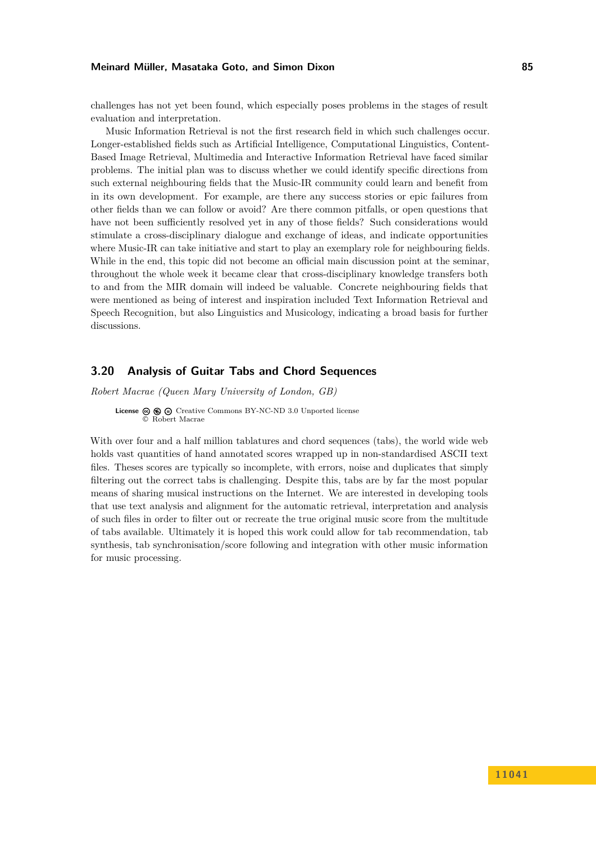challenges has not yet been found, which especially poses problems in the stages of result evaluation and interpretation.

Music Information Retrieval is not the first research field in which such challenges occur. Longer-established fields such as Artificial Intelligence, Computational Linguistics, Content-Based Image Retrieval, Multimedia and Interactive Information Retrieval have faced similar problems. The initial plan was to discuss whether we could identify specific directions from such external neighbouring fields that the Music-IR community could learn and benefit from in its own development. For example, are there any success stories or epic failures from other fields than we can follow or avoid? Are there common pitfalls, or open questions that have not been sufficiently resolved yet in any of those fields? Such considerations would stimulate a cross-disciplinary dialogue and exchange of ideas, and indicate opportunities where Music-IR can take initiative and start to play an exemplary role for neighbouring fields. While in the end, this topic did not become an official main discussion point at the seminar, throughout the whole week it became clear that cross-disciplinary knowledge transfers both to and from the MIR domain will indeed be valuable. Concrete neighbouring fields that were mentioned as being of interest and inspiration included Text Information Retrieval and Speech Recognition, but also Linguistics and Musicology, indicating a broad basis for further discussions.

# <span id="page-17-0"></span>**3.20 Analysis of Guitar Tabs and Chord Sequences**

*Robert Macrae (Queen Mary University of London, GB)*

**License**  $\textcircled{e}$   $\textcircled{e}$   $\textcircled{e}$  [Creative Commons BY-NC-ND 3.0 Unported](http://creativecommons.org/licenses/by-nc-nd/3.0/) license © [Robert Macrae](#page-17-0)

With over four and a half million tablatures and chord sequences (tabs), the world wide web holds vast quantities of hand annotated scores wrapped up in non-standardised ASCII text files. Theses scores are typically so incomplete, with errors, noise and duplicates that simply filtering out the correct tabs is challenging. Despite this, tabs are by far the most popular means of sharing musical instructions on the Internet. We are interested in developing tools that use text analysis and alignment for the automatic retrieval, interpretation and analysis of such files in order to filter out or recreate the true original music score from the multitude of tabs available. Ultimately it is hoped this work could allow for tab recommendation, tab synthesis, tab synchronisation/score following and integration with other music information for music processing.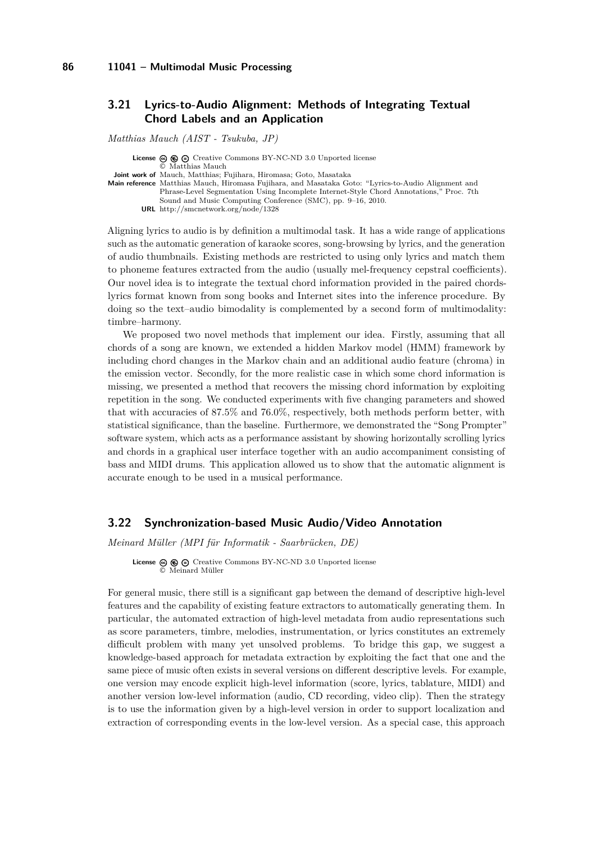# <span id="page-18-0"></span>**3.21 Lyrics-to-Audio Alignment: Methods of Integrating Textual Chord Labels and an Application**

*Matthias Mauch (AIST - Tsukuba, JP)*

**License**  $\odot$   $\odot$   $\odot$  [Creative Commons BY-NC-ND 3.0 Unported](http://creativecommons.org/licenses/by-nc-nd/3.0/) license © [Matthias Mauch](#page-18-0) **Joint work of** Mauch, Matthias; Fujihara, Hiromasa; Goto, Masataka **Main reference** [Matthias Mauch, Hiromasa Fujihara, and Masataka Goto: "Lyrics-to-Audio Alignment and](http://smcnetwork.org/node/1328) [Phrase-Level Segmentation Using Incomplete Internet-Style Chord Annotations," Proc. 7th](http://smcnetwork.org/node/1328) [Sound and Music Computing Conference \(SMC\), pp. 9–16, 2010.](http://smcnetwork.org/node/1328) **URL** <http://smcnetwork.org/node/1328>

Aligning lyrics to audio is by definition a multimodal task. It has a wide range of applications such as the automatic generation of karaoke scores, song-browsing by lyrics, and the generation of audio thumbnails. Existing methods are restricted to using only lyrics and match them to phoneme features extracted from the audio (usually mel-frequency cepstral coefficients). Our novel idea is to integrate the textual chord information provided in the paired chordslyrics format known from song books and Internet sites into the inference procedure. By doing so the text–audio bimodality is complemented by a second form of multimodality: timbre–harmony.

We proposed two novel methods that implement our idea. Firstly, assuming that all chords of a song are known, we extended a hidden Markov model (HMM) framework by including chord changes in the Markov chain and an additional audio feature (chroma) in the emission vector. Secondly, for the more realistic case in which some chord information is missing, we presented a method that recovers the missing chord information by exploiting repetition in the song. We conducted experiments with five changing parameters and showed that with accuracies of 87.5% and 76.0%, respectively, both methods perform better, with statistical significance, than the baseline. Furthermore, we demonstrated the "Song Prompter" software system, which acts as a performance assistant by showing horizontally scrolling lyrics and chords in a graphical user interface together with an audio accompaniment consisting of bass and MIDI drums. This application allowed us to show that the automatic alignment is accurate enough to be used in a musical performance.

# <span id="page-18-1"></span>**3.22 Synchronization-based Music Audio/Video Annotation**

*Meinard Müller (MPI für Informatik - Saarbrücken, DE)*

**License**  $\textcircled{e}$   $\textcircled{e}$   $\textcircled{e}$  [Creative Commons BY-NC-ND 3.0 Unported](http://creativecommons.org/licenses/by-nc-nd/3.0/) license © [Meinard Müller](#page-18-1)

For general music, there still is a significant gap between the demand of descriptive high-level features and the capability of existing feature extractors to automatically generating them. In particular, the automated extraction of high-level metadata from audio representations such as score parameters, timbre, melodies, instrumentation, or lyrics constitutes an extremely difficult problem with many yet unsolved problems. To bridge this gap, we suggest a knowledge-based approach for metadata extraction by exploiting the fact that one and the same piece of music often exists in several versions on different descriptive levels. For example, one version may encode explicit high-level information (score, lyrics, tablature, MIDI) and another version low-level information (audio, CD recording, video clip). Then the strategy is to use the information given by a high-level version in order to support localization and extraction of corresponding events in the low-level version. As a special case, this approach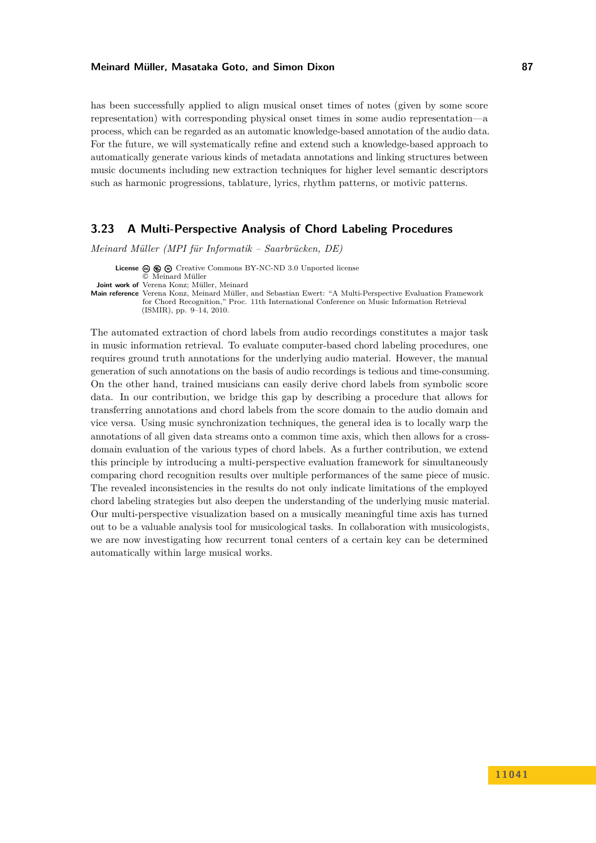has been successfully applied to align musical onset times of notes (given by some score representation) with corresponding physical onset times in some audio representation—a process, which can be regarded as an automatic knowledge-based annotation of the audio data. For the future, we will systematically refine and extend such a knowledge-based approach to automatically generate various kinds of metadata annotations and linking structures between music documents including new extraction techniques for higher level semantic descriptors such as harmonic progressions, tablature, lyrics, rhythm patterns, or motivic patterns.

# <span id="page-19-0"></span>**3.23 A Multi-Perspective Analysis of Chord Labeling Procedures**

*Meinard Müller (MPI für Informatik – Saarbrücken, DE)*

**License**  $\odot$   $\odot$   $\odot$  [Creative Commons BY-NC-ND 3.0 Unported](http://creativecommons.org/licenses/by-nc-nd/3.0/) license

© [Meinard Müller](#page-19-0) **Joint work of** Verena Konz; Müller, Meinard

**Main reference** [Verena Konz, Meinard Müller, and Sebastian Ewert: "A Multi-Perspective Evaluation Framework](Verena Konz, Meinard M{�}ller, and Sebastian Ewert: ``A Multi-Perspective Evaluation Framework for Chord Recognition,) [for Chord Recognition," Proc. 11th International Conference on Music Information Retrieval](Verena Konz, Meinard M{�}ller, and Sebastian Ewert: ``A Multi-Perspective Evaluation Framework for Chord Recognition,) [\(ISMIR\), pp. 9–14, 2010.](Verena Konz, Meinard M{�}ller, and Sebastian Ewert: ``A Multi-Perspective Evaluation Framework for Chord Recognition,)

The automated extraction of chord labels from audio recordings constitutes a major task in music information retrieval. To evaluate computer-based chord labeling procedures, one requires ground truth annotations for the underlying audio material. However, the manual generation of such annotations on the basis of audio recordings is tedious and time-consuming. On the other hand, trained musicians can easily derive chord labels from symbolic score data. In our contribution, we bridge this gap by describing a procedure that allows for transferring annotations and chord labels from the score domain to the audio domain and vice versa. Using music synchronization techniques, the general idea is to locally warp the annotations of all given data streams onto a common time axis, which then allows for a crossdomain evaluation of the various types of chord labels. As a further contribution, we extend this principle by introducing a multi-perspective evaluation framework for simultaneously comparing chord recognition results over multiple performances of the same piece of music. The revealed inconsistencies in the results do not only indicate limitations of the employed chord labeling strategies but also deepen the understanding of the underlying music material. Our multi-perspective visualization based on a musically meaningful time axis has turned out to be a valuable analysis tool for musicological tasks. In collaboration with musicologists, we are now investigating how recurrent tonal centers of a certain key can be determined automatically within large musical works.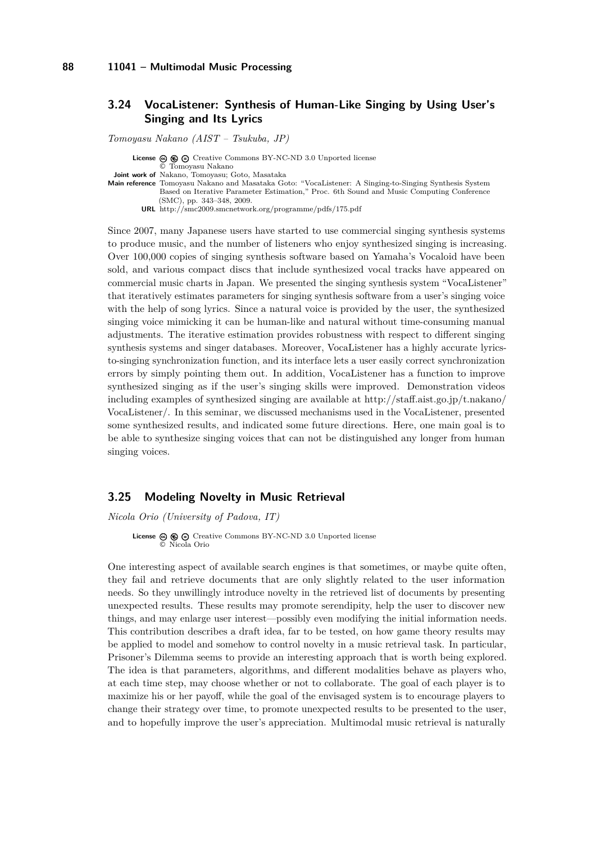# <span id="page-20-0"></span>**3.24 VocaListener: Synthesis of Human-Like Singing by Using User's Singing and Its Lyrics**

*Tomoyasu Nakano (AIST – Tsukuba, JP)*

**License**  $\circledcirc$   $\circledcirc$   $\circlearrowright$  [Creative Commons BY-NC-ND 3.0 Unported](http://creativecommons.org/licenses/by-nc-nd/3.0/) license © [Tomoyasu Nakano](#page-20-0) **Joint work of** Nakano, Tomoyasu; Goto, Masataka **Main reference** [Tomoyasu Nakano and Masataka Goto: "VocaListener: A Singing-to-Singing Synthesis System](http://smc2009.smcnetwork.org/programme/pdfs/175.pdf) [Based on Iterative Parameter Estimation," Proc. 6th Sound and Music Computing Conference](http://smc2009.smcnetwork.org/programme/pdfs/175.pdf) [\(SMC\), pp. 343–348, 2009.](http://smc2009.smcnetwork.org/programme/pdfs/175.pdf) **URL** <http://smc2009.smcnetwork.org/programme/pdfs/175.pdf>

Since 2007, many Japanese users have started to use commercial singing synthesis systems to produce music, and the number of listeners who enjoy synthesized singing is increasing. Over 100,000 copies of singing synthesis software based on Yamaha's Vocaloid have been sold, and various compact discs that include synthesized vocal tracks have appeared on commercial music charts in Japan. We presented the singing synthesis system "VocaListener" that iteratively estimates parameters for singing synthesis software from a user's singing voice with the help of song lyrics. Since a natural voice is provided by the user, the synthesized singing voice mimicking it can be human-like and natural without time-consuming manual adjustments. The iterative estimation provides robustness with respect to different singing synthesis systems and singer databases. Moreover, VocaListener has a highly accurate lyricsto-singing synchronization function, and its interface lets a user easily correct synchronization errors by simply pointing them out. In addition, VocaListener has a function to improve synthesized singing as if the user's singing skills were improved. Demonstration videos including examples of synthesized singing are available at [http://staff.aist.go.jp/t.nakano/](http://staff.aist.go.jp/t.nakano/VocaListener/) [VocaListener/.](http://staff.aist.go.jp/t.nakano/VocaListener/) In this seminar, we discussed mechanisms used in the VocaListener, presented some synthesized results, and indicated some future directions. Here, one main goal is to be able to synthesize singing voices that can not be distinguished any longer from human singing voices.

#### <span id="page-20-1"></span>**3.25 Modeling Novelty in Music Retrieval**

*Nicola Orio (University of Padova, IT)*

**License**  $\textcircled{e}$   $\textcircled{e}$   $\textcircled{e}$  [Creative Commons BY-NC-ND 3.0 Unported](http://creativecommons.org/licenses/by-nc-nd/3.0/) license © [Nicola Orio](#page-20-1)

One interesting aspect of available search engines is that sometimes, or maybe quite often, they fail and retrieve documents that are only slightly related to the user information needs. So they unwillingly introduce novelty in the retrieved list of documents by presenting unexpected results. These results may promote serendipity, help the user to discover new things, and may enlarge user interest—possibly even modifying the initial information needs. This contribution describes a draft idea, far to be tested, on how game theory results may be applied to model and somehow to control novelty in a music retrieval task. In particular, Prisoner's Dilemma seems to provide an interesting approach that is worth being explored. The idea is that parameters, algorithms, and different modalities behave as players who, at each time step, may choose whether or not to collaborate. The goal of each player is to maximize his or her payoff, while the goal of the envisaged system is to encourage players to change their strategy over time, to promote unexpected results to be presented to the user, and to hopefully improve the user's appreciation. Multimodal music retrieval is naturally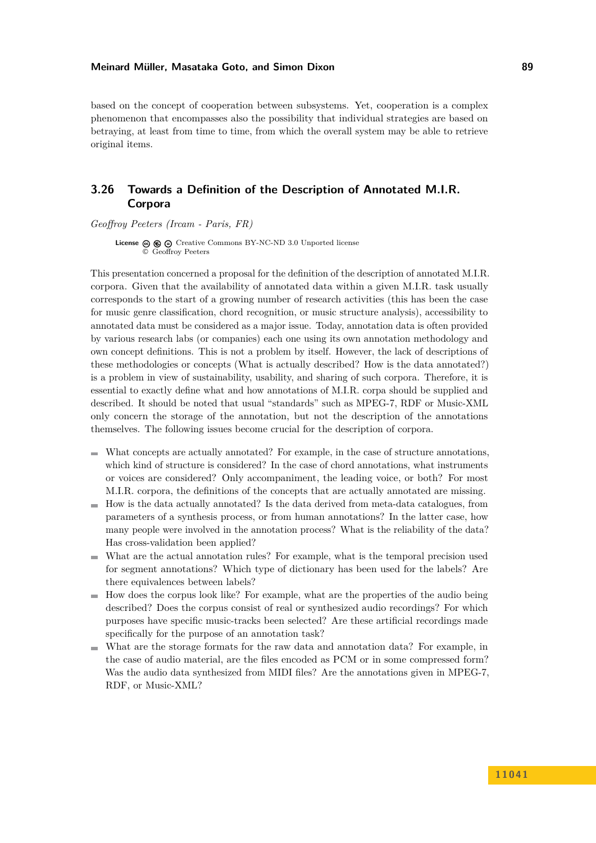based on the concept of cooperation between subsystems. Yet, cooperation is a complex phenomenon that encompasses also the possibility that individual strategies are based on betraying, at least from time to time, from which the overall system may be able to retrieve original items.

# <span id="page-21-0"></span>**3.26 Towards a Definition of the Description of Annotated M.I.R. Corpora**

*Geoffroy Peeters (Ircam - Paris, FR)*

**License**  $\textcircled{e}$   $\textcircled{e}$  [Creative Commons BY-NC-ND 3.0 Unported](http://creativecommons.org/licenses/by-nc-nd/3.0/) license © [Geoffroy Peeters](#page-21-0)

This presentation concerned a proposal for the definition of the description of annotated M.I.R. corpora. Given that the availability of annotated data within a given M.I.R. task usually corresponds to the start of a growing number of research activities (this has been the case for music genre classification, chord recognition, or music structure analysis), accessibility to annotated data must be considered as a major issue. Today, annotation data is often provided by various research labs (or companies) each one using its own annotation methodology and own concept definitions. This is not a problem by itself. However, the lack of descriptions of these methodologies or concepts (What is actually described? How is the data annotated?) is a problem in view of sustainability, usability, and sharing of such corpora. Therefore, it is essential to exactly define what and how annotations of M.I.R. corpa should be supplied and described. It should be noted that usual "standards" such as MPEG-7, RDF or Music-XML only concern the storage of the annotation, but not the description of the annotations themselves. The following issues become crucial for the description of corpora.

- What concepts are actually annotated? For example, in the case of structure annotations, which kind of structure is considered? In the case of chord annotations, what instruments or voices are considered? Only accompaniment, the leading voice, or both? For most M.I.R. corpora, the definitions of the concepts that are actually annotated are missing.
- How is the data actually annotated? Is the data derived from meta-data catalogues, from m. parameters of a synthesis process, or from human annotations? In the latter case, how many people were involved in the annotation process? What is the reliability of the data? Has cross-validation been applied?
- What are the actual annotation rules? For example, what is the temporal precision used for segment annotations? Which type of dictionary has been used for the labels? Are there equivalences between labels?
- How does the corpus look like? For example, what are the properties of the audio being  $\blacksquare$ described? Does the corpus consist of real or synthesized audio recordings? For which purposes have specific music-tracks been selected? Are these artificial recordings made specifically for the purpose of an annotation task?
- What are the storage formats for the raw data and annotation data? For example, in the case of audio material, are the files encoded as PCM or in some compressed form? Was the audio data synthesized from MIDI files? Are the annotations given in MPEG-7, RDF, or Music-XML?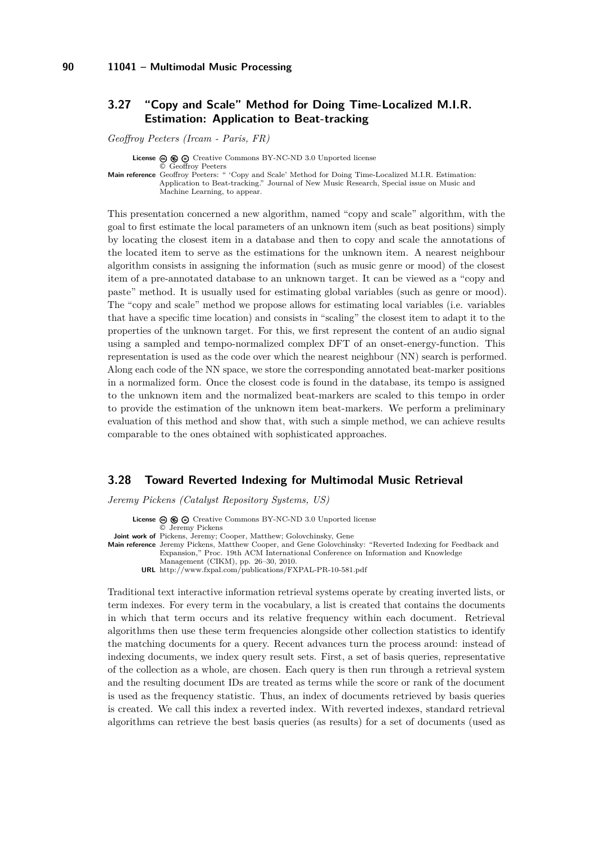# <span id="page-22-0"></span>**3.27 "Copy and Scale" Method for Doing Time-Localized M.I.R. Estimation: Application to Beat-tracking**

*Geoffroy Peeters (Ircam - Paris, FR)*

**License**  $\odot$   $\odot$   $\odot$  [Creative Commons BY-NC-ND 3.0 Unported](http://creativecommons.org/licenses/by-nc-nd/3.0/) license © [Geoffroy Peeters](#page-22-0) **Main reference** [Geoffroy Peeters: " 'Copy and Scale' Method for Doing Time-Localized M.I.R. Estimation:](Geoffroy Peeters: `` `Copy and Scale) [Application to Beat-tracking." Journal of New Music Research, Special issue on Music and](Geoffroy Peeters: `` `Copy and Scale) [Machine Learning, to appear.](Geoffroy Peeters: `` `Copy and Scale)

This presentation concerned a new algorithm, named "copy and scale" algorithm, with the goal to first estimate the local parameters of an unknown item (such as beat positions) simply by locating the closest item in a database and then to copy and scale the annotations of the located item to serve as the estimations for the unknown item. A nearest neighbour algorithm consists in assigning the information (such as music genre or mood) of the closest item of a pre-annotated database to an unknown target. It can be viewed as a "copy and paste" method. It is usually used for estimating global variables (such as genre or mood). The "copy and scale" method we propose allows for estimating local variables (i.e. variables that have a specific time location) and consists in "scaling" the closest item to adapt it to the properties of the unknown target. For this, we first represent the content of an audio signal using a sampled and tempo-normalized complex DFT of an onset-energy-function. This representation is used as the code over which the nearest neighbour (NN) search is performed. Along each code of the NN space, we store the corresponding annotated beat-marker positions in a normalized form. Once the closest code is found in the database, its tempo is assigned to the unknown item and the normalized beat-markers are scaled to this tempo in order to provide the estimation of the unknown item beat-markers. We perform a preliminary evaluation of this method and show that, with such a simple method, we can achieve results comparable to the ones obtained with sophisticated approaches.

#### <span id="page-22-1"></span>**3.28 Toward Reverted Indexing for Multimodal Music Retrieval**

*Jeremy Pickens (Catalyst Repository Systems, US)*

License  $\circledcirc \circledcirc \circ$  [Creative Commons BY-NC-ND 3.0 Unported](http://creativecommons.org/licenses/by-nc-nd/3.0/) license © [Jeremy Pickens](#page-22-1)

**Joint work of** Pickens, Jeremy; Cooper, Matthew; Golovchinsky, Gene

**Main reference** [Jeremy Pickens, Matthew Cooper, and Gene Golovchinsky: "Reverted Indexing for Feedback and](http://www.fxpal.com/publications/FXPAL-PR-10-581.pdf) [Expansion," Proc. 19th ACM International Conference on Information and Knowledge](http://www.fxpal.com/publications/FXPAL-PR-10-581.pdf) [Management \(CIKM\), pp. 26–30, 2010.](http://www.fxpal.com/publications/FXPAL-PR-10-581.pdf)

**URL** <http://www.fxpal.com/publications/FXPAL-PR-10-581.pdf>

Traditional text interactive information retrieval systems operate by creating inverted lists, or term indexes. For every term in the vocabulary, a list is created that contains the documents in which that term occurs and its relative frequency within each document. Retrieval algorithms then use these term frequencies alongside other collection statistics to identify the matching documents for a query. Recent advances turn the process around: instead of indexing documents, we index query result sets. First, a set of basis queries, representative of the collection as a whole, are chosen. Each query is then run through a retrieval system and the resulting document IDs are treated as terms while the score or rank of the document is used as the frequency statistic. Thus, an index of documents retrieved by basis queries is created. We call this index a reverted index. With reverted indexes, standard retrieval algorithms can retrieve the best basis queries (as results) for a set of documents (used as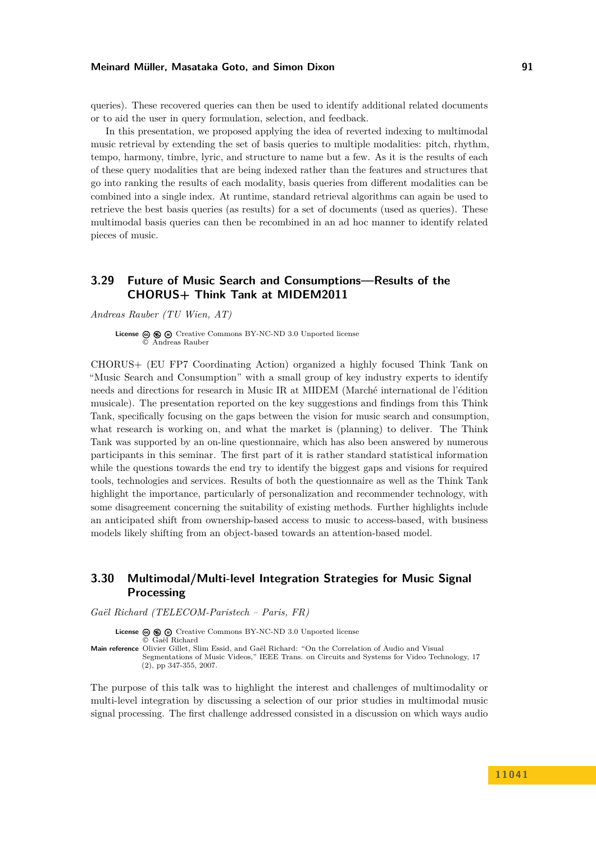queries). These recovered queries can then be used to identify additional related documents or to aid the user in query formulation, selection, and feedback.

In this presentation, we proposed applying the idea of reverted indexing to multimodal music retrieval by extending the set of basis queries to multiple modalities: pitch, rhythm, tempo, harmony, timbre, lyric, and structure to name but a few. As it is the results of each of these query modalities that are being indexed rather than the features and structures that go into ranking the results of each modality, basis queries from different modalities can be combined into a single index. At runtime, standard retrieval algorithms can again be used to retrieve the best basis queries (as results) for a set of documents (used as queries). These multimodal basis queries can then be recombined in an ad hoc manner to identify related pieces of music.

# <span id="page-23-0"></span>**3.29 Future of Music Search and Consumptions—Results of the CHORUS+ Think Tank at MIDEM2011**

*Andreas Rauber (TU Wien, AT)*

**License**  $\textcircled{e}$   $\textcircled{e}$   $\textcircled{e}$  [Creative Commons BY-NC-ND 3.0 Unported](http://creativecommons.org/licenses/by-nc-nd/3.0/) license © [Andreas Rauber](#page-23-0)

CHORUS+ (EU FP7 Coordinating Action) organized a highly focused Think Tank on "Music Search and Consumption" with a small group of key industry experts to identify needs and directions for research in Music IR at MIDEM (Marché international de l'édition musicale). The presentation reported on the key suggestions and findings from this Think Tank, specifically focusing on the gaps between the vision for music search and consumption, what research is working on, and what the market is (planning) to deliver. The Think Tank was supported by an on-line questionnaire, which has also been answered by numerous participants in this seminar. The first part of it is rather standard statistical information while the questions towards the end try to identify the biggest gaps and visions for required tools, technologies and services. Results of both the questionnaire as well as the Think Tank highlight the importance, particularly of personalization and recommender technology, with some disagreement concerning the suitability of existing methods. Further highlights include an anticipated shift from ownership-based access to music to access-based, with business models likely shifting from an object-based towards an attention-based model.

# <span id="page-23-1"></span>**3.30 Multimodal/Multi-level Integration Strategies for Music Signal Processing**

*Gaël Richard (TELECOM-Paristech – Paris, FR)*

License  $\circledcirc \circledcirc \circ$  [Creative Commons BY-NC-ND 3.0 Unported](http://creativecommons.org/licenses/by-nc-nd/3.0/) license © [Gaël Richard](#page-23-1) **Main reference** [Olivier Gillet, Slim Essid, and Gaël Richard: "On the Correlation of Audio and Visual](http://www.telecom-paristech.fr/~grichard/) [Segmentations of Music Videos," IEEE Trans. on Circuits and Systems for Video Technology, 17](http://www.telecom-paristech.fr/~grichard/)

[\(2\), pp 347-355, 2007.](http://www.telecom-paristech.fr/~grichard/)

The purpose of this talk was to highlight the interest and challenges of multimodality or multi-level integration by discussing a selection of our prior studies in multimodal music signal processing. The first challenge addressed consisted in a discussion on which ways audio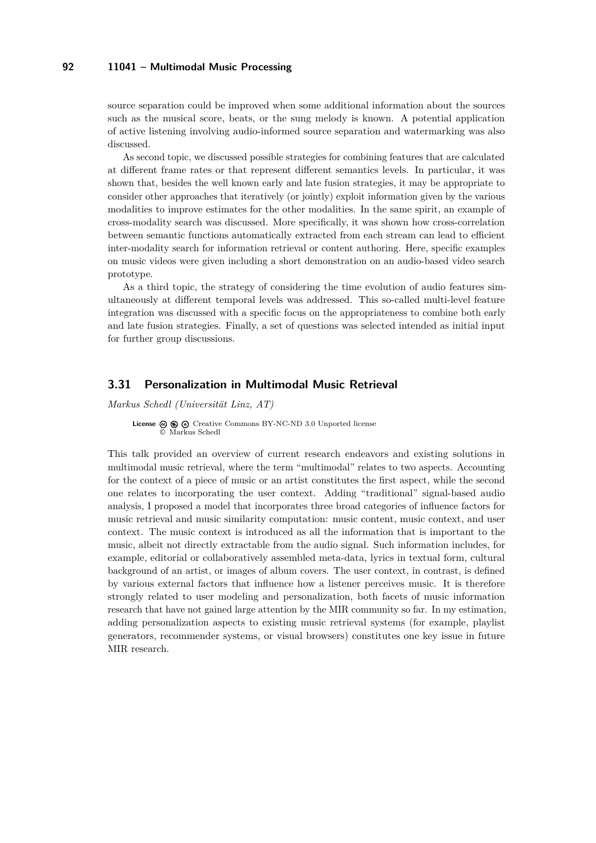source separation could be improved when some additional information about the sources such as the musical score, beats, or the sung melody is known. A potential application of active listening involving audio-informed source separation and watermarking was also discussed.

As second topic, we discussed possible strategies for combining features that are calculated at different frame rates or that represent different semantics levels. In particular, it was shown that, besides the well known early and late fusion strategies, it may be appropriate to consider other approaches that iteratively (or jointly) exploit information given by the various modalities to improve estimates for the other modalities. In the same spirit, an example of cross-modality search was discussed. More specifically, it was shown how cross-correlation between semantic functions automatically extracted from each stream can lead to efficient inter-modality search for information retrieval or content authoring. Here, specific examples on music videos were given including a short demonstration on an audio-based video search prototype.

As a third topic, the strategy of considering the time evolution of audio features simultaneously at different temporal levels was addressed. This so-called multi-level feature integration was discussed with a specific focus on the appropriateness to combine both early and late fusion strategies. Finally, a set of questions was selected intended as initial input for further group discussions.

### <span id="page-24-0"></span>**3.31 Personalization in Multimodal Music Retrieval**

*Markus Schedl (Universität Linz, AT)*

**License**  $\textcircled{e}$   $\textcircled{e}$   $\textcircled{e}$  [Creative Commons BY-NC-ND 3.0 Unported](http://creativecommons.org/licenses/by-nc-nd/3.0/) license © [Markus Schedl](#page-24-0)

This talk provided an overview of current research endeavors and existing solutions in multimodal music retrieval, where the term "multimodal" relates to two aspects. Accounting for the context of a piece of music or an artist constitutes the first aspect, while the second one relates to incorporating the user context. Adding "traditional" signal-based audio analysis, I proposed a model that incorporates three broad categories of influence factors for music retrieval and music similarity computation: music content, music context, and user context. The music context is introduced as all the information that is important to the music, albeit not directly extractable from the audio signal. Such information includes, for example, editorial or collaboratively assembled meta-data, lyrics in textual form, cultural background of an artist, or images of album covers. The user context, in contrast, is defined by various external factors that influence how a listener perceives music. It is therefore strongly related to user modeling and personalization, both facets of music information research that have not gained large attention by the MIR community so far. In my estimation, adding personalization aspects to existing music retrieval systems (for example, playlist generators, recommender systems, or visual browsers) constitutes one key issue in future MIR research.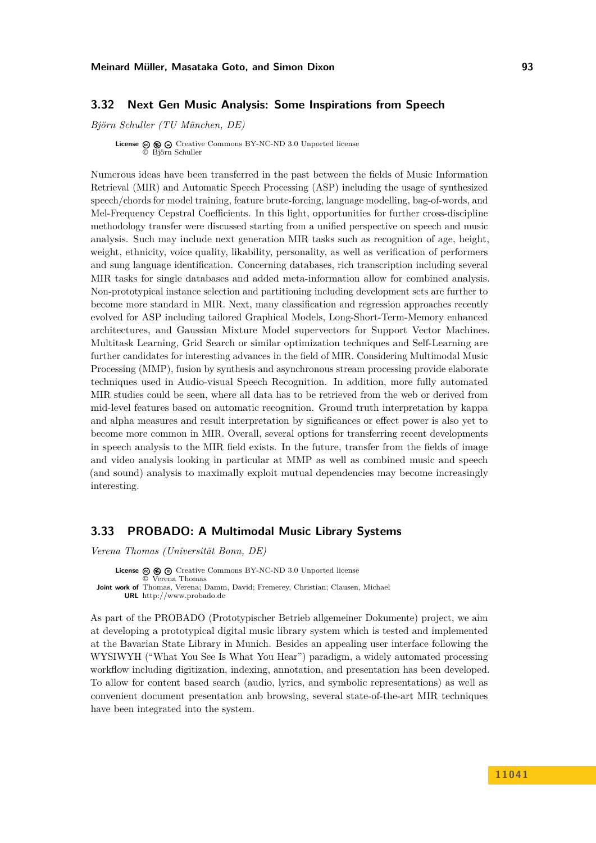### <span id="page-25-0"></span>**3.32 Next Gen Music Analysis: Some Inspirations from Speech**

*Björn Schuller (TU München, DE)*

**License**  $\textcircled{e}$   $\textcircled{e}$   $\textcircled{e}$  [Creative Commons BY-NC-ND 3.0 Unported](http://creativecommons.org/licenses/by-nc-nd/3.0/) license © [Björn Schuller](#page-25-0)

Numerous ideas have been transferred in the past between the fields of Music Information Retrieval (MIR) and Automatic Speech Processing (ASP) including the usage of synthesized speech/chords for model training, feature brute-forcing, language modelling, bag-of-words, and Mel-Frequency Cepstral Coefficients. In this light, opportunities for further cross-discipline methodology transfer were discussed starting from a unified perspective on speech and music analysis. Such may include next generation MIR tasks such as recognition of age, height, weight, ethnicity, voice quality, likability, personality, as well as verification of performers and sung language identification. Concerning databases, rich transcription including several MIR tasks for single databases and added meta-information allow for combined analysis. Non-prototypical instance selection and partitioning including development sets are further to become more standard in MIR. Next, many classification and regression approaches recently evolved for ASP including tailored Graphical Models, Long-Short-Term-Memory enhanced architectures, and Gaussian Mixture Model supervectors for Support Vector Machines. Multitask Learning, Grid Search or similar optimization techniques and Self-Learning are further candidates for interesting advances in the field of MIR. Considering Multimodal Music Processing (MMP), fusion by synthesis and asynchronous stream processing provide elaborate techniques used in Audio-visual Speech Recognition. In addition, more fully automated MIR studies could be seen, where all data has to be retrieved from the web or derived from mid-level features based on automatic recognition. Ground truth interpretation by kappa and alpha measures and result interpretation by significances or effect power is also yet to become more common in MIR. Overall, several options for transferring recent developments in speech analysis to the MIR field exists. In the future, transfer from the fields of image and video analysis looking in particular at MMP as well as combined music and speech (and sound) analysis to maximally exploit mutual dependencies may become increasingly interesting.

# <span id="page-25-1"></span>**3.33 PROBADO: A Multimodal Music Library Systems**

*Verena Thomas (Universität Bonn, DE)*

**License**  $\textcircled{e}$   $\textcircled{e}$   $\textcircled{e}$  [Creative Commons BY-NC-ND 3.0 Unported](http://creativecommons.org/licenses/by-nc-nd/3.0/) license © [Verena Thomas](#page-25-1) **Joint work of** Thomas, Verena; Damm, David; Fremerey, Christian; Clausen, Michael **URL** <http://www.probado.de>

As part of the PROBADO (Prototypischer Betrieb allgemeiner Dokumente) project, we aim at developing a prototypical digital music library system which is tested and implemented at the Bavarian State Library in Munich. Besides an appealing user interface following the WYSIWYH ("What You See Is What You Hear") paradigm, a widely automated processing workflow including digitization, indexing, annotation, and presentation has been developed. To allow for content based search (audio, lyrics, and symbolic representations) as well as convenient document presentation anb browsing, several state-of-the-art MIR techniques have been integrated into the system.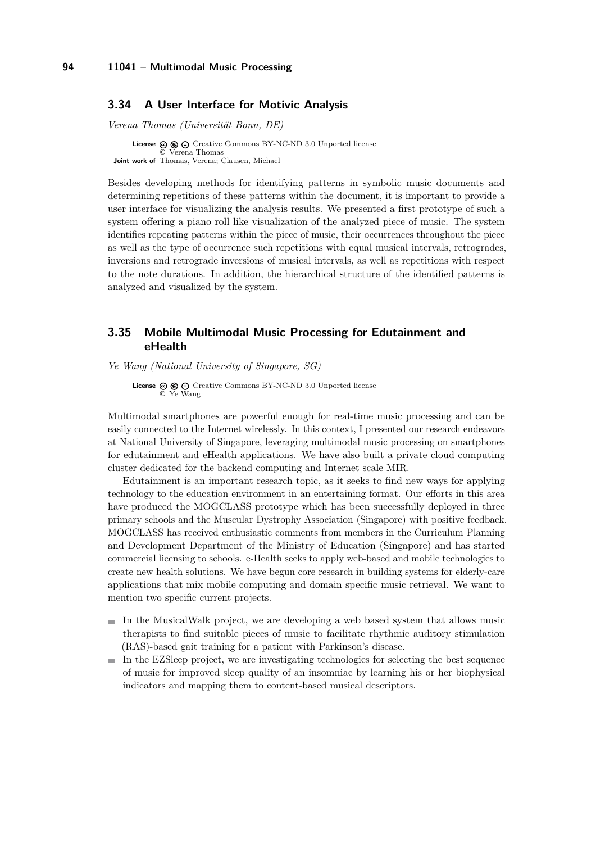### <span id="page-26-0"></span>**3.34 A User Interface for Motivic Analysis**

*Verena Thomas (Universität Bonn, DE)*

**License**  $\textcircled{e}$   $\textcircled{e}$   $\textcircled{f}$  [Creative Commons BY-NC-ND 3.0 Unported](http://creativecommons.org/licenses/by-nc-nd/3.0/) license © [Verena Thomas](#page-26-0) **Joint work of** Thomas, Verena; Clausen, Michael

Besides developing methods for identifying patterns in symbolic music documents and determining repetitions of these patterns within the document, it is important to provide a user interface for visualizing the analysis results. We presented a first prototype of such a system offering a piano roll like visualization of the analyzed piece of music. The system identifies repeating patterns within the piece of music, their occurrences throughout the piece as well as the type of occurrence such repetitions with equal musical intervals, retrogrades, inversions and retrograde inversions of musical intervals, as well as repetitions with respect to the note durations. In addition, the hierarchical structure of the identified patterns is analyzed and visualized by the system.

### <span id="page-26-1"></span>**3.35 Mobile Multimodal Music Processing for Edutainment and eHealth**

*Ye Wang (National University of Singapore, SG)*

**License**  $\circledcirc$   $\circledcirc$   $\circlearrowright$  [Creative Commons BY-NC-ND 3.0 Unported](http://creativecommons.org/licenses/by-nc-nd/3.0/) license © [Ye Wang](#page-26-1)

Multimodal smartphones are powerful enough for real-time music processing and can be easily connected to the Internet wirelessly. In this context, I presented our research endeavors at National University of Singapore, leveraging multimodal music processing on smartphones for edutainment and eHealth applications. We have also built a private cloud computing cluster dedicated for the backend computing and Internet scale MIR.

Edutainment is an important research topic, as it seeks to find new ways for applying technology to the education environment in an entertaining format. Our efforts in this area have produced the MOGCLASS prototype which has been successfully deployed in three primary schools and the Muscular Dystrophy Association (Singapore) with positive feedback. MOGCLASS has received enthusiastic comments from members in the Curriculum Planning and Development Department of the Ministry of Education (Singapore) and has started commercial licensing to schools. e-Health seeks to apply web-based and mobile technologies to create new health solutions. We have begun core research in building systems for elderly-care applications that mix mobile computing and domain specific music retrieval. We want to mention two specific current projects.

- $\blacksquare$  In the MusicalWalk project, we are developing a web based system that allows music therapists to find suitable pieces of music to facilitate rhythmic auditory stimulation (RAS)-based gait training for a patient with Parkinson's disease.
- $\blacksquare$  In the EZSleep project, we are investigating technologies for selecting the best sequence of music for improved sleep quality of an insomniac by learning his or her biophysical indicators and mapping them to content-based musical descriptors.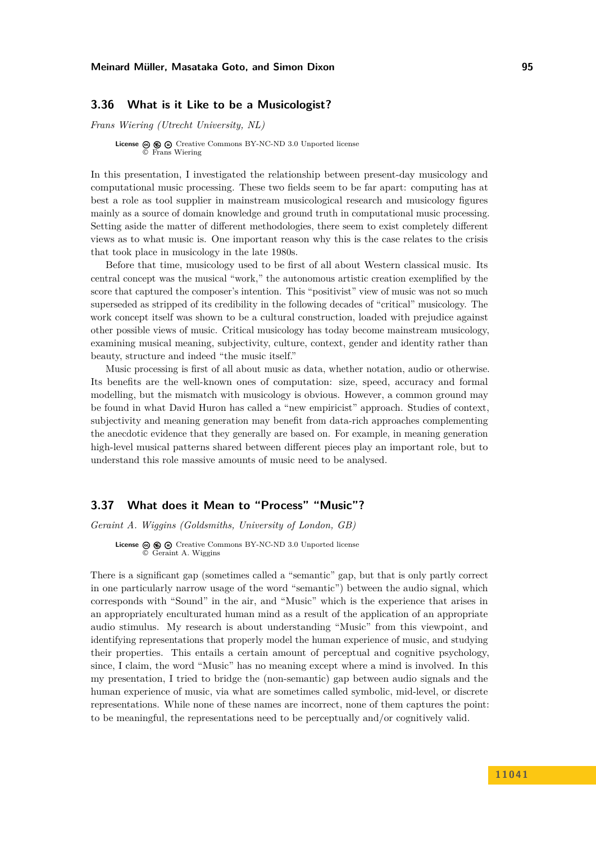### <span id="page-27-0"></span>**3.36 What is it Like to be a Musicologist?**

*Frans Wiering (Utrecht University, NL)*

**License**  $\textcircled{e}$   $\textcircled{e}$   $\textcircled{e}$  [Creative Commons BY-NC-ND 3.0 Unported](http://creativecommons.org/licenses/by-nc-nd/3.0/) license © [Frans Wiering](#page-27-0)

In this presentation, I investigated the relationship between present-day musicology and computational music processing. These two fields seem to be far apart: computing has at best a role as tool supplier in mainstream musicological research and musicology figures mainly as a source of domain knowledge and ground truth in computational music processing. Setting aside the matter of different methodologies, there seem to exist completely different views as to what music is. One important reason why this is the case relates to the crisis that took place in musicology in the late 1980s.

Before that time, musicology used to be first of all about Western classical music. Its central concept was the musical "work," the autonomous artistic creation exemplified by the score that captured the composer's intention. This "positivist" view of music was not so much superseded as stripped of its credibility in the following decades of "critical" musicology. The work concept itself was shown to be a cultural construction, loaded with prejudice against other possible views of music. Critical musicology has today become mainstream musicology, examining musical meaning, subjectivity, culture, context, gender and identity rather than beauty, structure and indeed "the music itself."

Music processing is first of all about music as data, whether notation, audio or otherwise. Its benefits are the well-known ones of computation: size, speed, accuracy and formal modelling, but the mismatch with musicology is obvious. However, a common ground may be found in what David Huron has called a "new empiricist" approach. Studies of context, subjectivity and meaning generation may benefit from data-rich approaches complementing the anecdotic evidence that they generally are based on. For example, in meaning generation high-level musical patterns shared between different pieces play an important role, but to understand this role massive amounts of music need to be analysed.

# <span id="page-27-1"></span>**3.37 What does it Mean to "Process" "Music"?**

*Geraint A. Wiggins (Goldsmiths, University of London, GB)*

**License**  $\circledcirc$   $\circledcirc$   $\circlearrowright$  [Creative Commons BY-NC-ND 3.0 Unported](http://creativecommons.org/licenses/by-nc-nd/3.0/) license © [Geraint A. Wiggins](#page-27-1)

There is a significant gap (sometimes called a "semantic" gap, but that is only partly correct in one particularly narrow usage of the word "semantic") between the audio signal, which corresponds with "Sound" in the air, and "Music" which is the experience that arises in an appropriately enculturated human mind as a result of the application of an appropriate audio stimulus. My research is about understanding "Music" from this viewpoint, and identifying representations that properly model the human experience of music, and studying their properties. This entails a certain amount of perceptual and cognitive psychology, since, I claim, the word "Music" has no meaning except where a mind is involved. In this my presentation, I tried to bridge the (non-semantic) gap between audio signals and the human experience of music, via what are sometimes called symbolic, mid-level, or discrete representations. While none of these names are incorrect, none of them captures the point: to be meaningful, the representations need to be perceptually and/or cognitively valid.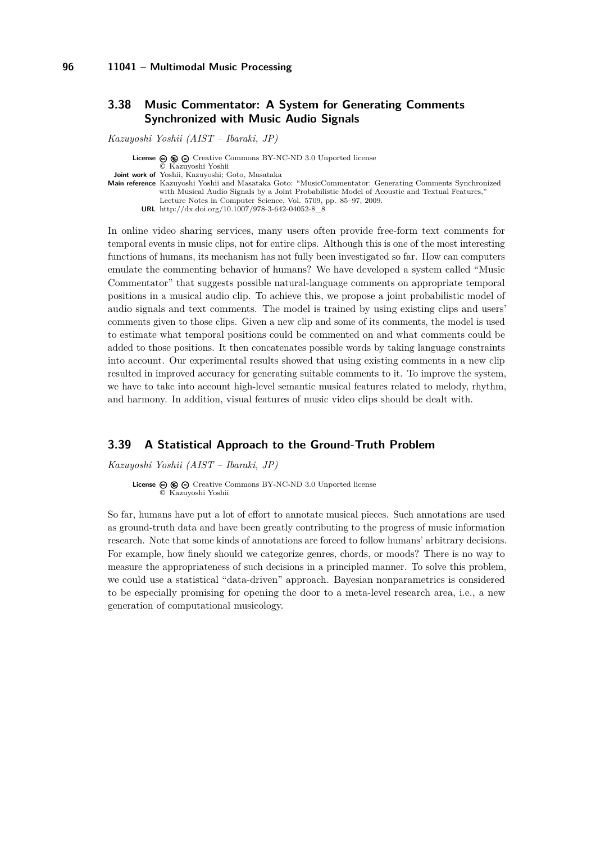# <span id="page-28-0"></span>**3.38 Music Commentator: A System for Generating Comments Synchronized with Music Audio Signals**

*Kazuyoshi Yoshii (AIST – Ibaraki, JP)*

**License ⓒ <b>⑥ ⊝** [Creative Commons BY-NC-ND 3.0 Unported](http://creativecommons.org/licenses/by-nc-nd/3.0/) license © [Kazuyoshi Yoshii](#page-28-0) **Joint work of** Yoshii, Kazuyoshi; Goto, Masataka **Main reference** [Kazuyoshi Yoshii and Masataka Goto: "MusicCommentator: Generating Comments Synchronized](http://dx.doi.org/10.1007/978-3-642-04052-8_8) with Musical Audio Signals by a Joint Probabilistic Model of Acoustic and Textual Features,' [Lecture Notes in Computer Science, Vol. 5709, pp. 85–97, 2009.](http://dx.doi.org/10.1007/978-3-642-04052-8_8) **URL** [http://dx.doi.org/10.1007/978-3-642-04052-8\\_8](http://dx.doi.org/10.1007/978-3-642-04052-8_8)

In online video sharing services, many users often provide free-form text comments for temporal events in music clips, not for entire clips. Although this is one of the most interesting functions of humans, its mechanism has not fully been investigated so far. How can computers emulate the commenting behavior of humans? We have developed a system called "Music Commentator" that suggests possible natural-language comments on appropriate temporal positions in a musical audio clip. To achieve this, we propose a joint probabilistic model of audio signals and text comments. The model is trained by using existing clips and users' comments given to those clips. Given a new clip and some of its comments, the model is used to estimate what temporal positions could be commented on and what comments could be added to those positions. It then concatenates possible words by taking language constraints into account. Our experimental results showed that using existing comments in a new clip resulted in improved accuracy for generating suitable comments to it. To improve the system, we have to take into account high-level semantic musical features related to melody, rhythm, and harmony. In addition, visual features of music video clips should be dealt with.

### <span id="page-28-1"></span>**3.39 A Statistical Approach to the Ground-Truth Problem**

*Kazuyoshi Yoshii (AIST – Ibaraki, JP)*

**License** ⓒ **ⓒ** ⊝ [Creative Commons BY-NC-ND 3.0 Unported](http://creativecommons.org/licenses/by-nc-nd/3.0/) license © [Kazuyoshi Yoshii](#page-28-1)

So far, humans have put a lot of effort to annotate musical pieces. Such annotations are used as ground-truth data and have been greatly contributing to the progress of music information research. Note that some kinds of annotations are forced to follow humans' arbitrary decisions. For example, how finely should we categorize genres, chords, or moods? There is no way to measure the appropriateness of such decisions in a principled manner. To solve this problem, we could use a statistical "data-driven" approach. Bayesian nonparametrics is considered to be especially promising for opening the door to a meta-level research area, i.e., a new generation of computational musicology.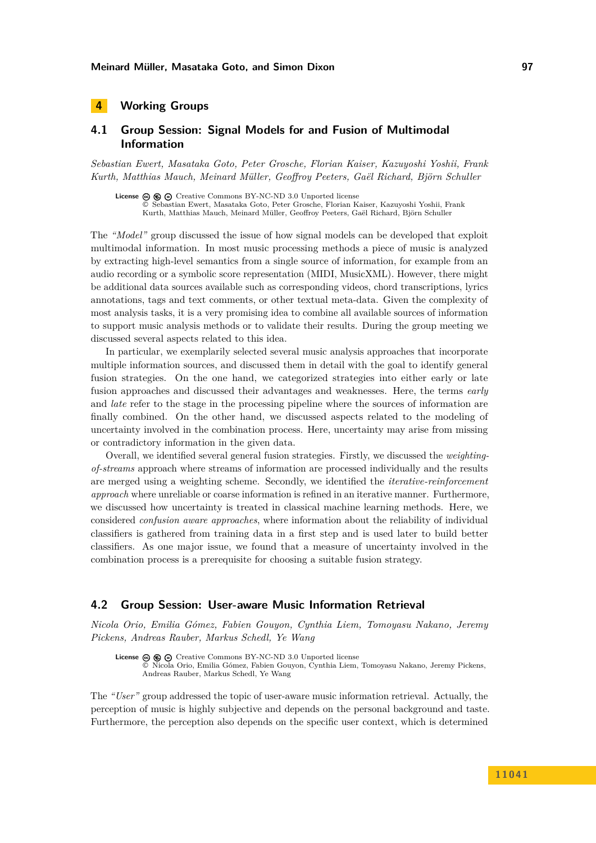# <span id="page-29-0"></span>**4 Working Groups**

# <span id="page-29-1"></span>**4.1 Group Session: Signal Models for and Fusion of Multimodal Information**

*Sebastian Ewert, Masataka Goto, Peter Grosche, Florian Kaiser, Kazuyoshi Yoshii, Frank Kurth, Matthias Mauch, Meinard Müller, Geoffroy Peeters, Gaël Richard, Björn Schuller*

License  $\circledcirc \circledcirc \circ$  [Creative Commons BY-NC-ND 3.0 Unported](http://creativecommons.org/licenses/by-nc-nd/3.0/) license © [Sebastian Ewert, Masataka Goto, Peter Grosche, Florian Kaiser, Kazuyoshi Yoshii, Frank](#page-29-1) [Kurth, Matthias Mauch, Meinard Müller, Geoffroy Peeters, Gaël Richard, Björn Schuller](#page-29-1)

The *"Model"* group discussed the issue of how signal models can be developed that exploit multimodal information. In most music processing methods a piece of music is analyzed by extracting high-level semantics from a single source of information, for example from an audio recording or a symbolic score representation (MIDI, MusicXML). However, there might be additional data sources available such as corresponding videos, chord transcriptions, lyrics annotations, tags and text comments, or other textual meta-data. Given the complexity of most analysis tasks, it is a very promising idea to combine all available sources of information to support music analysis methods or to validate their results. During the group meeting we discussed several aspects related to this idea.

In particular, we exemplarily selected several music analysis approaches that incorporate multiple information sources, and discussed them in detail with the goal to identify general fusion strategies. On the one hand, we categorized strategies into either early or late fusion approaches and discussed their advantages and weaknesses. Here, the terms *early* and *late* refer to the stage in the processing pipeline where the sources of information are finally combined. On the other hand, we discussed aspects related to the modeling of uncertainty involved in the combination process. Here, uncertainty may arise from missing or contradictory information in the given data.

Overall, we identified several general fusion strategies. Firstly, we discussed the *weightingof-streams* approach where streams of information are processed individually and the results are merged using a weighting scheme. Secondly, we identified the *iterative-reinforcement approach* where unreliable or coarse information is refined in an iterative manner. Furthermore, we discussed how uncertainty is treated in classical machine learning methods. Here, we considered *confusion aware approaches*, where information about the reliability of individual classifiers is gathered from training data in a first step and is used later to build better classifiers. As one major issue, we found that a measure of uncertainty involved in the combination process is a prerequisite for choosing a suitable fusion strategy.

### <span id="page-29-2"></span>**4.2 Group Session: User-aware Music Information Retrieval**

*Nicola Orio, Emilia Gómez, Fabien Gouyon, Cynthia Liem, Tomoyasu Nakano, Jeremy Pickens, Andreas Rauber, Markus Schedl, Ye Wang*

License  $\circledcirc$   $\circledcirc$   $\circlearrowright$  [Creative Commons BY-NC-ND 3.0 Unported](http://creativecommons.org/licenses/by-nc-nd/3.0/) license © [Nicola Orio, Emilia Gómez, Fabien Gouyon, Cynthia Liem, Tomoyasu Nakano, Jeremy Pickens,](#page-29-2) [Andreas Rauber, Markus Schedl, Ye Wang](#page-29-2)

The *"User"* group addressed the topic of user-aware music information retrieval. Actually, the perception of music is highly subjective and depends on the personal background and taste. Furthermore, the perception also depends on the specific user context, which is determined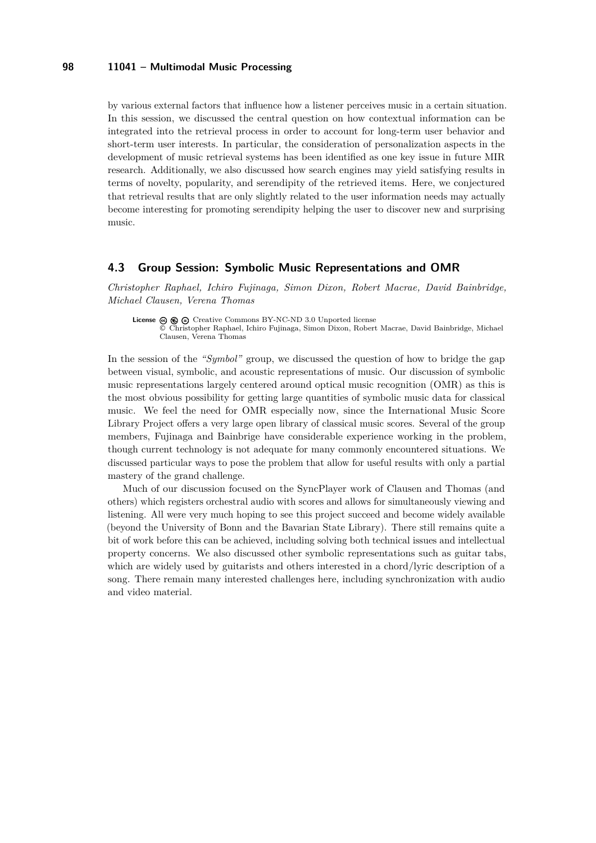by various external factors that influence how a listener perceives music in a certain situation. In this session, we discussed the central question on how contextual information can be integrated into the retrieval process in order to account for long-term user behavior and short-term user interests. In particular, the consideration of personalization aspects in the development of music retrieval systems has been identified as one key issue in future MIR research. Additionally, we also discussed how search engines may yield satisfying results in terms of novelty, popularity, and serendipity of the retrieved items. Here, we conjectured that retrieval results that are only slightly related to the user information needs may actually become interesting for promoting serendipity helping the user to discover new and surprising music.

### <span id="page-30-0"></span>**4.3 Group Session: Symbolic Music Representations and OMR**

*Christopher Raphael, Ichiro Fujinaga, Simon Dixon, Robert Macrae, David Bainbridge, Michael Clausen, Verena Thomas*

**License**  $\odot$   $\odot$   $\odot$  [Creative Commons BY-NC-ND 3.0 Unported](http://creativecommons.org/licenses/by-nc-nd/3.0/) license © [Christopher Raphael, Ichiro Fujinaga, Simon Dixon, Robert Macrae, David Bainbridge, Michael](#page-30-0) [Clausen, Verena Thomas](#page-30-0)

In the session of the *"Symbol"* group, we discussed the question of how to bridge the gap between visual, symbolic, and acoustic representations of music. Our discussion of symbolic music representations largely centered around optical music recognition (OMR) as this is the most obvious possibility for getting large quantities of symbolic music data for classical music. We feel the need for OMR especially now, since the International Music Score Library Project offers a very large open library of classical music scores. Several of the group members, Fujinaga and Bainbrige have considerable experience working in the problem, though current technology is not adequate for many commonly encountered situations. We discussed particular ways to pose the problem that allow for useful results with only a partial mastery of the grand challenge.

Much of our discussion focused on the SyncPlayer work of Clausen and Thomas (and others) which registers orchestral audio with scores and allows for simultaneously viewing and listening. All were very much hoping to see this project succeed and become widely available (beyond the University of Bonn and the Bavarian State Library). There still remains quite a bit of work before this can be achieved, including solving both technical issues and intellectual property concerns. We also discussed other symbolic representations such as guitar tabs, which are widely used by guitarists and others interested in a chord/lyric description of a song. There remain many interested challenges here, including synchronization with audio and video material.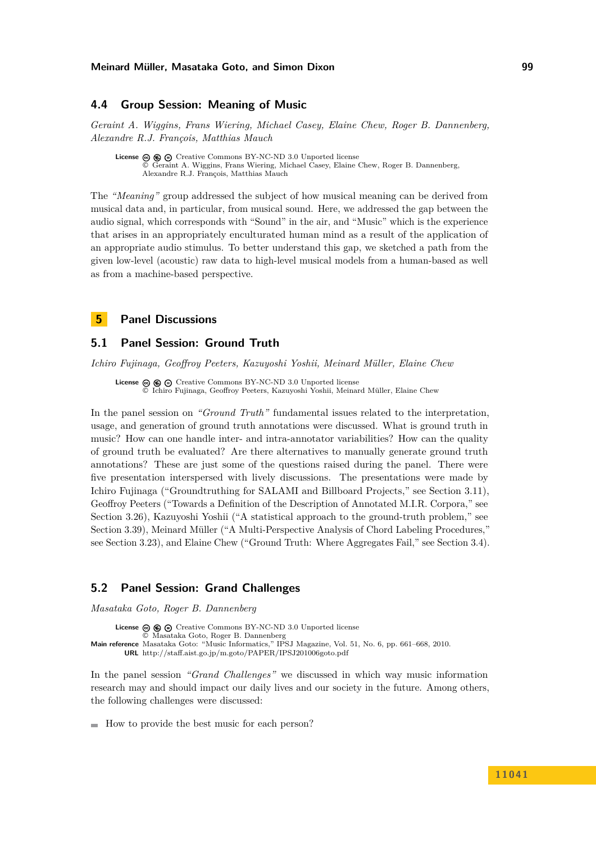### <span id="page-31-0"></span>**4.4 Group Session: Meaning of Music**

*Geraint A. Wiggins, Frans Wiering, Michael Casey, Elaine Chew, Roger B. Dannenberg, Alexandre R.J. François, Matthias Mauch*

License  $\circledcirc \circledcirc \circ$  [Creative Commons BY-NC-ND 3.0 Unported](http://creativecommons.org/licenses/by-nc-nd/3.0/) license © [Geraint A. Wiggins, Frans Wiering, Michael Casey, Elaine Chew, Roger B. Dannenberg,](#page-31-0) [Alexandre R.J. François, Matthias Mauch](#page-31-0)

The *"Meaning"* group addressed the subject of how musical meaning can be derived from musical data and, in particular, from musical sound. Here, we addressed the gap between the audio signal, which corresponds with "Sound" in the air, and "Music" which is the experience that arises in an appropriately enculturated human mind as a result of the application of an appropriate audio stimulus. To better understand this gap, we sketched a path from the given low-level (acoustic) raw data to high-level musical models from a human-based as well as from a machine-based perspective.

### <span id="page-31-1"></span>**5 Panel Discussions**

### <span id="page-31-2"></span>**5.1 Panel Session: Ground Truth**

*Ichiro Fujinaga, Geoffroy Peeters, Kazuyoshi Yoshii, Meinard Müller, Elaine Chew*

**License**  $\circledcirc$   $\circledcirc$   $\circlearrowright$  [Creative Commons BY-NC-ND 3.0 Unported](http://creativecommons.org/licenses/by-nc-nd/3.0/) license © [Ichiro Fujinaga, Geoffroy Peeters, Kazuyoshi Yoshii, Meinard Müller, Elaine Chew](#page-31-2)

In the panel session on *"Ground Truth"* fundamental issues related to the interpretation, usage, and generation of ground truth annotations were discussed. What is ground truth in music? How can one handle inter- and intra-annotator variabilities? How can the quality of ground truth be evaluated? Are there alternatives to manually generate ground truth annotations? These are just some of the questions raised during the panel. There were five presentation interspersed with lively discussions. The presentations were made by Ichiro Fujinaga ("Groundtruthing for SALAMI and Billboard Projects," see Section [3.11\)](#page-11-0), Geoffroy Peeters ("Towards a Definition of the Description of Annotated M.I.R. Corpora," see Section [3.26\)](#page-21-0), Kazuyoshi Yoshii ("A statistical approach to the ground-truth problem," see Section [3.39\)](#page-28-1), Meinard Müller ("A Multi-Perspective Analysis of Chord Labeling Procedures," see Section [3.23\)](#page-19-0), and Elaine Chew ("Ground Truth: Where Aggregates Fail," see Section [3.4\)](#page-8-0).

### <span id="page-31-3"></span>**5.2 Panel Session: Grand Challenges**

*Masataka Goto, Roger B. Dannenberg*

**License**  $\circledast$   $\circledast$   $\circledast$  [Creative Commons BY-NC-ND 3.0 Unported](http://creativecommons.org/licenses/by-nc-nd/3.0/) license © [Masataka Goto, Roger B. Dannenberg](#page-31-3) **Main reference** [Masataka Goto: "Music Informatics," IPSJ Magazine, Vol. 51, No. 6, pp. 661–668, 2010.](http://staff.aist.go.jp/m.goto/PAPER/IPSJ201006goto.pdf) **URL** <http://staff.aist.go.jp/m.goto/PAPER/IPSJ201006goto.pdf>

In the panel session *"Grand Challenges"* we discussed in which way music information research may and should impact our daily lives and our society in the future. Among others, the following challenges were discussed:

How to provide the best music for each person?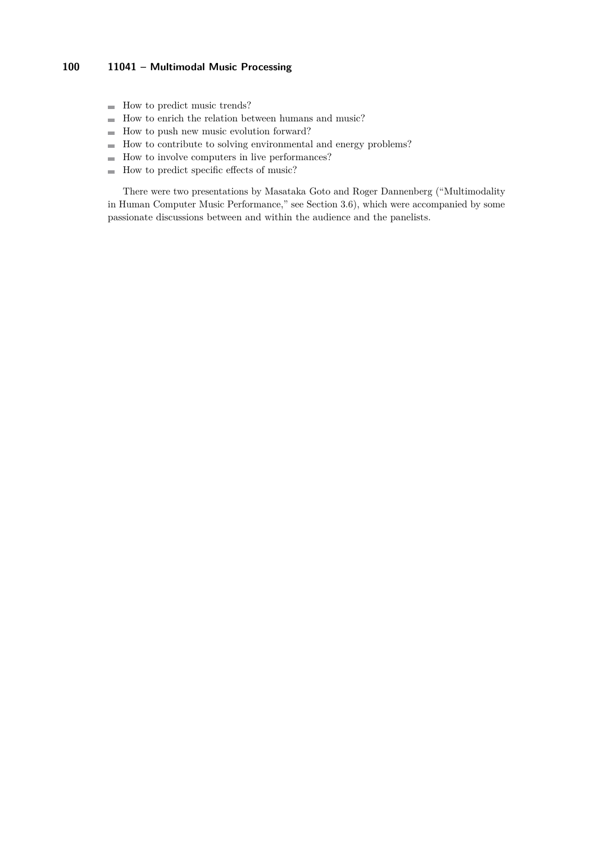- $\blacksquare$  How to predict music trends?
- $\blacksquare$  How to enrich the relation between humans and music?
- $\blacksquare$  How to push new music evolution forward?
- $\blacksquare$  How to contribute to solving environmental and energy problems?
- How to involve computers in live performances?
- $\blacksquare$  How to predict specific effects of music?

There were two presentations by Masataka Goto and Roger Dannenberg ("Multimodality in Human Computer Music Performance," see Section [3.6\)](#page-9-0), which were accompanied by some passionate discussions between and within the audience and the panelists.